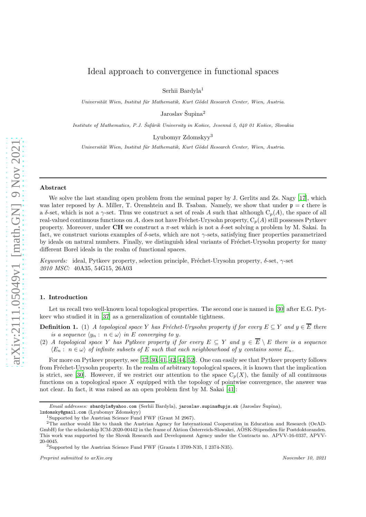# Ideal approach to convergence in functional spaces

Serhii Bardyla<sup>1</sup>

Universität Wien, Institut für Mathematik, Kurt Gödel Research Center, Wien, Austria.

Jaroslav Šupina<sup>2</sup>

Institute of Mathematics, P.J. Šafárik University in Košice, Jesenná 5, 040 01 Košice, Slovakia

Lyubomyr Zdomskyy<sup>3</sup>

Universität Wien, Institut für Mathematik, Kurt Gödel Research Center, Wien, Austria.

### Abstract

We solve the last standing open problem from the seminal paper by J. Gerlits and Zs. Nagy [\[17\]](#page-26-0), which was later reposed by A. Miller, T. Orenshtein and B. Tsaban. Namely, we show that under  $\mathfrak{p} = \mathfrak{c}$  there is a δ-set, which is not a  $\gamma$ -set. Thus we construct a set of reals A such that although  $C_n(A)$ , the space of all real-valued continuous functions on A, does not have Fréchet-Urysohn property,  $C_p(A)$  still possesses Pytkeev property. Moreover, under CH we construct a  $\pi$ -set which is not a  $\delta$ -set solving a problem by M. Sakai. In fact, we construct various examples of  $\delta$ -sets, which are not  $\gamma$ -sets, satisfying finer properties parametrized by ideals on natural numbers. Finally, we distinguish ideal variants of Fréchet-Urysohn property for many different Borel ideals in the realm of functional spaces.

Keywords: ideal, Pytkeev property, selection principle, Fréchet-Urysohn property,  $\delta$ -set,  $\gamma$ -set 2010 MSC: 40A35, 54G15, 26A03

#### 1. Introduction

Let us recall two well-known local topological properties. The second one is named in [\[30\]](#page-26-1) after E.G. Pytkeev who studied it in [\[37](#page-26-2)] as a generalization of countable tightness.

**Definition 1.** (1) A topological space Y has Fréchet-Urysohn property if for every  $E \subseteq Y$  and  $y \in \overline{E}$  there is a sequence  $\langle y_n : n \in \omega \rangle$  in E converging to y.

(2) A topological space Y has Pytkeev property if for every  $E \subseteq Y$  and  $y \in \overline{E} \setminus E$  there is a sequence  $\langle E_n : n \in \omega \rangle$  of infinite subsets of E such that each neighbourhood of y contains some  $E_n$ .

For more on Pytkeev property, see [\[37](#page-26-2), [30](#page-26-1), [41](#page-26-3), [42](#page-26-4), [44](#page-26-5), [52](#page-26-6)]. One can easily see that Pytkeev property follows from Fréchet-Urysohn property. In the realm of arbitrary topological spaces, it is known that the implication is strict, see [\[30\]](#page-26-1). However, if we restrict our attention to the space  $C_p(X)$ , the family of all continuous functions on a topological space  $X$  equipped with the topology of pointwise convergence, the answer was not clear. In fact, it was raised as an open problem first by M. Sakai [\[41](#page-26-3)]:

Email addresses: sbardyla@yahoo.com (Serhii Bardyla), jaroslav.supina@upjs.sk (Jaroslav Šupina), lzdomsky@gmail.com (Lyubomyr Zdomskyy)

<sup>1</sup>Supported by the Austrian Science Fund FWF (Grant M 2967).

<sup>2</sup>The author would like to thank the Austrian Agency for International Cooperation in Education and Research (OeAD-GmbH) for the scholarship ICM-2020-00442 in the frame of Aktion Osterreich-Slowakei, AOSK-Stipendien für Postdoktoranden. This work was supported by the Slovak Research and Development Agency under the Contracts no. APVV-16-0337, APVV-20-0045.

<sup>3</sup>Supported by the Austrian Science Fund FWF (Grants I 3709-N35, I 2374-N35).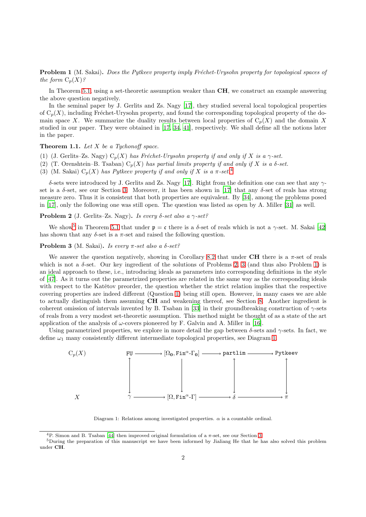<span id="page-1-4"></span>**Problem 1** (M. Sakai). Does the Pytkeev property imply Fréchet-Urysohn property for topological spaces of the form  $C_p(X)$ ?

In Theorem 5.1, using a set-theoretic assumption weaker than **CH**, we construct an example answering the above question negatively.

In the seminal paper by J. Gerlits and Zs. Nagy [\[17\]](#page-26-0), they studied several local topological properties of  $C_p(X)$ , including Fréchet-Urysohn property, and found the corresponding topological property of the domain space X. We summarize the duality results between local properties of  $C_p(X)$  and the domain X studied in our paper. They were obtained in [\[17,](#page-26-0) [34](#page-26-7), [41](#page-26-3)], respectively. We shall define all the notions later in the paper.

# **Theorem 1.1.** Let  $X$  be a Tychonoff space.

- (1) (J. Gerlits–Zs. Nagy)  $C_p(X)$  has Fréchet-Urysohn property if and only if X is a  $\gamma$ -set.
- (2) (T. Orenshtein–B. Tsaban)  $C_p(X)$  has partial limits property if and only if X is a  $\delta$ -set.
- (3) (M. Sakai)  $C_n(X)$  has Pytkeev property if and only if X is a  $\pi$ -set.<sup>[4](#page-1-0)</sup>

δ-sets were introduced by J. Gerlits and Zs. Nagy [\[17](#page-26-0)]. Right from the definition one can see that any γset is a  $\delta$ -set, see our Section [3.](#page-6-0) Moreover, it has been shown in [\[17](#page-26-0)] that any  $\delta$ -set of reals has strong measure zero. Thus it is consistent that both properties are equivalent. By [\[34\]](#page-26-7), among the problems posed in [\[17\]](#page-26-0), only the following one was still open. The question was listed as open by A. Miller [\[31\]](#page-26-8) as well.

# <span id="page-1-2"></span>**Problem 2** (J. Gerlits–Zs. Nagy). Is every  $\delta$ -set also a  $\gamma$ -set?

We show<sup>[5](#page-1-1)</sup> in Theorem 5.1 that under  $\mathfrak{p} = \mathfrak{c}$  there is a  $\delta$ -set of reals which is not a  $\gamma$ -set. M. Sakai [\[42\]](#page-26-4) has shown that any  $\delta$ -set is a  $\pi$ -set and raised the following question.

#### <span id="page-1-3"></span>**Problem 3** (M. Sakai). Is every  $\pi$ -set also a  $\delta$ -set?

We answer the question negatively, showing in Corollary [8.2](#page-19-0) that under CH there is a  $\pi$ -set of reals which is not a δ-set. Our key ingredient of the solutions of Problems [2,](#page-1-2) [3](#page-1-3) (and thus also Problem [1\)](#page-1-4) is an ideal approach to these, i.e., introducing ideals as parameters into corresponding definitions in the style of [\[47\]](#page-26-9). As it turns out the parametrized properties are related in the same way as the corresponding ideals with respect to the Katětov preorder, the question whether the strict relation implies that the respective covering properties are indeed different (Question [1\)](#page-24-0) being still open. However, in many cases we are able to actually distinguish them assuming CH and weakening thereof, see Section [8.](#page-18-0) Another ingredient is coherent omission of intervals invented by B. Tsaban in [\[33\]](#page-26-10) in their groundbreaking construction of  $\gamma$ -sets of reals from a very modest set-theoretic assumption. This method might be thought of as a state of the art application of the analysis of  $\omega$ -covers pioneered by F. Galvin and A. Miller in [\[16\]](#page-26-11).

Using parametrized properties, we explore in more detail the gap between  $\delta$ -sets and  $\gamma$ -sets. In fact, we define  $\omega_1$  many consistently different intermediate topological properties, see Diagram [1.](#page-1-5)



<span id="page-1-5"></span>Diagram 1: Relations among investigated properties.  $\alpha$  is a countable ordinal.

<span id="page-1-1"></span><span id="page-1-0"></span><sup>&</sup>lt;sup>4</sup>P. Simon and B. Tsaban [\[44](#page-26-5)] then improved original formulation of a  $\pi$ -set, see our Section [3.](#page-6-0)

<sup>5</sup>During the preparation of this manuscript we have been informed by Jialiang He that he has also solved this problem under CH.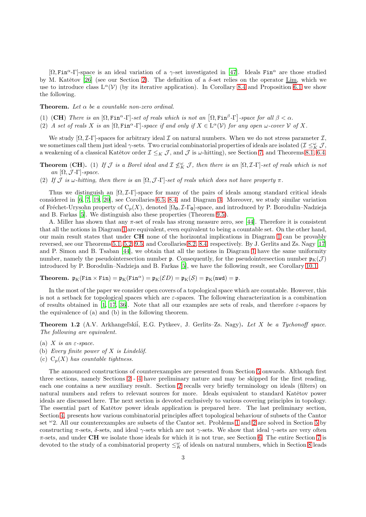$[\Omega, \text{Fin}^{\alpha} - \Gamma]$ -space is an ideal variation of a  $\gamma$ -set investigated in [\[47\]](#page-26-9). Ideals Fin<sup> $\alpha$ </sup> are those studied by M. Katětov [\[26\]](#page-26-12) (see our Section [2\)](#page-3-0). The definition of a  $\delta$ -set relies on the operator Lim, which we use to introduce class  $L^{\alpha}(\mathcal{V})$  (by its iterative application). In Corollary [8.4](#page-19-1) and Proposition [6.1](#page-13-0) we show the following.

**Theorem.** Let  $\alpha$  be a countable non-zero ordinal.

- (1) (CH) There is an  $[\Omega, \text{Fin}^{\alpha} \Gamma]$ -set of reals which is not an  $[\Omega, \text{Fin}^{\beta} \Gamma]$ -space for all  $\beta < \alpha$ .
- (2) A set of reals X is an  $[\Omega, \text{Fin}^{\alpha} \Gamma]$ -space if and only if  $X \in \text{L}^{\alpha}(\mathcal{V})$  for any open  $\omega$ -cover  $\mathcal V$  of X.

We study  $[\Omega, \mathcal{I}-\Gamma]$ -spaces for arbitrary ideal  $\mathcal I$  on natural numbers. When we do not stress parameter  $\mathcal I$ , we sometimes call them just ideal  $\gamma$ -sets. Two crucial combinatorial properties of ideals are isolated ( $\mathcal{I} \leq^{\omega}_K \mathcal{J}$ , a weakening of a classical Katětov order  $\mathcal{I} \leq_K \mathcal{J}$ , and  $\mathcal{J}$  is  $\omega$ -hitting), see Section [7,](#page-15-0) and Theorems [8.1,](#page-18-1) [6.4.](#page-14-0)

**Theorem** (CH). (1) If  $\mathcal{J}$  is a Borel ideal and  $\mathcal{I} \nleq_K^{\omega} \mathcal{J}$ , then there is an  $[\Omega, \mathcal{I}$ - $\Gamma]$ -set of reals which is not an  $[\Omega, \mathcal{J}$ -Γ $]$ -space.

(2) If J is  $\omega$ -hitting, then there is an  $[\Omega, \mathcal{J}$ -Γ]-set of reals which does not have property  $\pi$ .

Thus we distinguish an  $[\Omega, \mathcal{I}\text{-}\Gamma]$ -space for many of the pairs of ideals among standard critical ideals considered in [\[6,](#page-26-13) [7](#page-26-14), [19,](#page-26-15) [20](#page-26-16)], see Corollaries [6.5,](#page-15-1) [8.4,](#page-19-1) and Diagram [3.](#page-14-1) Moreover, we study similar variation of Fréchet-Urysohn property of  $C_p(X)$ , denoted  $\Omega_0$ ,  $\mathcal{I}\text{-}\Gamma_0$ -space, and introduced by P. Borodulin–Nadzieja and B. Farkas [\[5](#page-26-17)]. We distinguish also these properties (Theorem [9.5\)](#page-22-0).

A. Miller has shown that any π-set of reals has strong measure zero, see [\[44\]](#page-26-5). Therefore it is consistent that all the notions in Diagram [1](#page-1-5) are equivalent, even equivalent to being a countable set. On the other hand, our main result states that under CH none of the horizontal implications in Diagram [1](#page-1-5) can be provably reversed, see our Theorems 5.1, [5.2,](#page-12-0) [9.5,](#page-22-0) and Corollaries [8.2,](#page-19-0) [8.4,](#page-19-1) respectively. By J. Gerlits and Zs. Nagy [\[17\]](#page-26-0) and P. Simon and B. Tsaban [\[44](#page-26-5)], we obtain that all the notions in Diagram [1](#page-1-5) have the same uniformity number, namely the pseudointersection number  $\mathfrak{p}$ . Consequently, for the pseudointersection number  $\mathfrak{p}_K(\mathcal{J})$ introduced by P. Borodulin–Nadzieja and B. Farkas [\[5](#page-26-17)], we have the following result, see Corollary 10.1.

**Theorem.**  $\mathfrak{p}_K(\text{Fin} \times \text{Fin}) = \mathfrak{p}_K(\text{Fin}^{\alpha}) = \mathfrak{p}_K(\mathcal{E}D) = \mathfrak{p}_K(\mathcal{S}) = \mathfrak{p}_K(\text{nwd}) = \mathfrak{p}.$ 

In the most of the paper we consider open covers of a topological space which are countable. However, this is not a setback for topological spaces which are  $\varepsilon$ -spaces. The following characterization is a combination of results obtained in [\[1,](#page-25-0) [17,](#page-26-0) [36\]](#page-26-18). Note that all our examples are sets of reals, and therefore  $\varepsilon$ -spaces by the equivalence of (a) and (b) in the following theorem.

<span id="page-2-0"></span>Theorem 1.2 (A.V. Arkhangel'skii, E.G. Pytkeev, J. Gerlits–Zs. Nagy). Let X be a Tychonoff space. The following are equivalent.

- (a) X is an  $\varepsilon$ -space.
- (b) Every finite power of  $X$  is Lindelöf.
- (c)  $C_p(X)$  has countable tightness.

The announced constructions of counterexamples are presented from Section [5](#page-11-0) onwards. Although first three sections, namely Sections [2](#page-3-0) - [4](#page-8-0) have preliminary nature and may be skipped for the first reading, each one contains a new auxiliary result. Section [2](#page-3-0) recalls very briefly terminology on ideals (filters) on natural numbers and refers to relevant sources for more. Ideals equivalent to standard Katětov power ideals are discussed here. The next section is devoted exclusively to various covering principles in topology. The essential part of Katětov power ideals application is prepared here. The last preliminary section, Section [4,](#page-8-0) presents how various combinatorial principles affect topological behaviour of subsets of the Cantor set  $\omega$ 2. All our counterexamples are subsets of the Cantor set. Problems [1](#page-1-4) and [2](#page-1-2) are solved in Section [5](#page-11-0) by constructing  $\pi$ -sets,  $\delta$ -sets, and ideal  $\gamma$ -sets which are not  $\gamma$ -sets. We show that ideal  $\gamma$ -sets are very often  $\pi$ -sets, and under CH we isolate those ideals for which it is not true, see Section [6.](#page-13-1) The entire Section [7](#page-15-0) is devoted to the study of a combinatorial property  $\leq^{\omega}_K$  of ideals on natural numbers, which in Section [8](#page-18-0) leads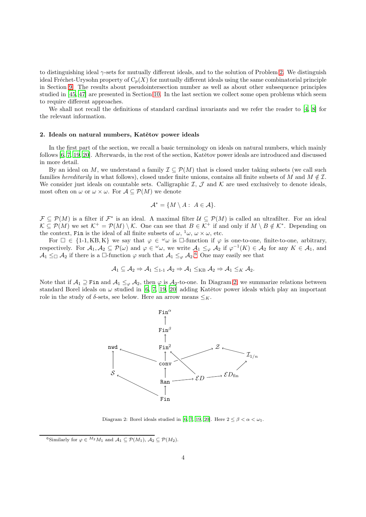to distinguishing ideal γ-sets for mutually different ideals, and to the solution of Problem [2.](#page-1-2) We distinguish ideal Fréchet-Urysohn property of  $C_p(X)$  for mutually different ideals using the same combinatorial principle in Section [9.](#page-20-0) The results about pseudointersection number as well as about other subsequence principles studied in [\[45,](#page-26-19) [47](#page-26-9)] are presented in Section [10.](#page-23-0) In the last section we collect some open problems which seem to require different approaches.

We shall not recall the definitions of standard cardinal invariants and we refer the reader to [\[4,](#page-25-1) [8](#page-26-20)] for the relevant information.

#### <span id="page-3-0"></span>2. Ideals on natural numbers, Katětov power ideals

In the first part of the section, we recall a basic terminology on ideals on natural numbers, which mainly follows  $[6, 7, 19, 20]$  $[6, 7, 19, 20]$  $[6, 7, 19, 20]$  $[6, 7, 19, 20]$  $[6, 7, 19, 20]$ . Afterwards, in the rest of the section, Katětov power ideals are introduced and discussed in more detail.

By an ideal on M, we understand a family  $\mathcal{I} \subseteq \mathcal{P}(M)$  that is closed under taking subsets (we call such families hereditarily in what follows), closed under finite unions, contains all finite subsets of M and  $M \notin \mathcal{I}$ . We consider just ideals on countable sets. Calligraphic  $\mathcal{I}, \mathcal{J}$  and  $\mathcal{K}$  are used exclusively to denote ideals, most often on  $\omega$  or  $\omega \times \omega$ . For  $\mathcal{A} \subseteq \mathcal{P}(M)$  we denote

$$
\mathcal{A}^* = \{ M \setminus A : A \in \mathcal{A} \}.
$$

 $\mathcal{F} \subseteq \mathcal{P}(M)$  is a filter if  $\mathcal{F}^*$  is an ideal. A maximal filter  $\mathcal{U} \subseteq \mathcal{P}(M)$  is called an ultrafilter. For an ideal  $\mathcal{K} \subseteq \mathcal{P}(M)$  we set  $\mathcal{K}^+ = \mathcal{P}(M) \setminus \mathcal{K}$ . One can see that  $B \in \mathcal{K}^+$  if and only if  $M \setminus B \notin \mathcal{K}^*$ . Depending on the context, Fin is the ideal of all finite subsets of  $\omega$ ,  $\omega$ ,  $\omega \times \omega$ , etc.

For  $\Box \in \{1-1, KB, K\}$  we say that  $\varphi \in {}^{\omega}\omega$  is  $\Box$ -function if  $\varphi$  is one-to-one, finite-to-one, arbitrary, respectively. For  $A_1, A_2 \subseteq \mathcal{P}(\omega)$  and  $\varphi \in {}^{\omega}\omega$ , we write  $A_1 \leq_{\varphi} A_2$  if  $\varphi^{-1}(K) \in \mathcal{A}_2$  for any  $K \in \mathcal{A}_1$ , and  $A_1 \leq_{\Box} A_2$  if there is a  $\Box$ -function  $\varphi$  such that  $A_1 \leq_{\varphi} A_2$ .<sup>[6](#page-3-1)</sup> One may easily see that

$$
\mathcal{A}_1 \subseteq \mathcal{A}_2 \Rightarrow \mathcal{A}_1 \leq_{1\text{-}1} \mathcal{A}_2 \Rightarrow \mathcal{A}_1 \leq_{KB} \mathcal{A}_2 \Rightarrow \mathcal{A}_1 \leq_{K} \mathcal{A}_2.
$$

Note that if  $A_1 \supseteq$  Fin and  $A_1 \leq_{\varphi} A_2$ , then  $\varphi$  is  $A_2$ -to-one. In Diagram [2,](#page-3-2) we summarize relations between standard Borel ideals on  $\omega$  studied in [\[6](#page-26-13), [7,](#page-26-14) [19,](#page-26-15) [20\]](#page-26-16) adding Katětov power ideals which play an important role in the study of  $\delta$ -sets, see below. Here an arrow means  $\leq_K$ .



<span id="page-3-2"></span>Diagram 2: Borel ideals studied in [\[6](#page-26-13), [7,](#page-26-14) [19](#page-26-15), [20](#page-26-16)]. Here  $2 \leq \beta < \alpha < \omega_1$ .

<span id="page-3-1"></span><sup>&</sup>lt;sup>6</sup>Similarly for  $\varphi \in {}^{M_2}M_1$  and  $\mathcal{A}_1 \subseteq \mathcal{P}(M_1), \mathcal{A}_2 \subseteq \mathcal{P}(M_2)$ .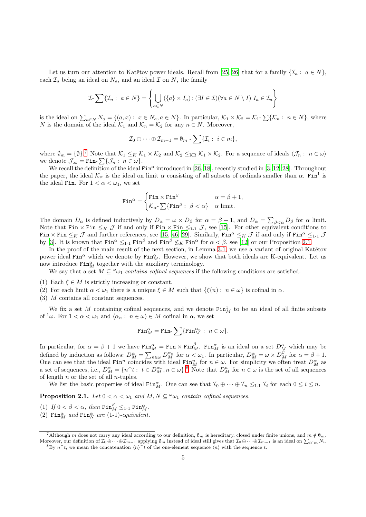Let us turn our attention to Katětov power ideals. Recall from [\[25](#page-26-21), [26](#page-26-12)] that for a family  $\{\mathcal{I}_a: a \in N\}$ , each  $\mathcal{I}_a$  being an ideal on  $N_a$ , and an ideal  $\mathcal I$  on  $N$ , the family

$$
\mathcal{I}\text{-}\sum\{\mathcal{I}_a:\ a\in N\}=\left\{\bigcup_{a\in N}(\{a\}\times I_a):\ (\exists I\in\mathcal{I})(\forall a\in N\setminus I)\ I_a\in\mathcal{I}_a\right\}
$$

is the ideal on  $\sum_{a\in N}N_a = \{(a,x): x \in N_a, a \in N\}$ . In particular,  $\mathcal{K}_1 \times \mathcal{K}_2 = \mathcal{K}_1$ -  $\sum \{\mathcal{K}_n: n \in N\}$ , where N is the domain of the ideal  $\mathcal{K}_1$  and  $\mathcal{K}_n = \mathcal{K}_2$  for any  $n \in N$ . Moreover,

$$
\mathcal{I}_0\oplus\cdots\oplus\mathcal{I}_{m-1}=\emptyset_m-\sum\{\mathcal{I}_i:\ i\in m\},\
$$

where  $\emptyset_m = \{\emptyset\}^7$  $\emptyset_m = \{\emptyset\}^7$  Note that  $\mathcal{K}_1 \leq_K \mathcal{K}_1 \times \mathcal{K}_2$  and  $\mathcal{K}_2 \leq_{KB} \mathcal{K}_1 \times \mathcal{K}_2$ . For a sequence of ideals  $\langle \mathcal{J}_n : n \in \omega \rangle$ we denote  $\mathcal{J}_{\infty} = \texttt{Fin-}\sum \{\mathcal{J}_n: n \in \omega\}.$ 

We recall the definition of the ideal  $\text{Fin}^\alpha$  introduced in [\[26,](#page-26-12) [18\]](#page-26-22), recently studied in [\[3,](#page-25-2) [12,](#page-26-23) [28](#page-26-24)]. Throughout the paper, the ideal  $\mathcal{K}_\alpha$  is the ideal on limit  $\alpha$  consisting of all subsets of ordinals smaller than  $\alpha$ . Fin<sup>1</sup> is the ideal Fin. For  $1 < \alpha < \omega_1$ , we set

$$
\text{Fin}^{\alpha} = \begin{cases} \text{Fin} \times \text{Fin}^{\beta} & \alpha = \beta + 1, \\ \mathcal{K}_{\alpha} \cdot \sum \{ \text{Fin}^{\beta} : \beta & \alpha \text{ limit.} \end{cases}
$$

The domain  $D_{\alpha}$  is defined inductively by  $D_{\alpha} = \omega \times D_{\beta}$  for  $\alpha = \beta + 1$ , and  $D_{\alpha} = \sum_{\beta < \alpha} D_{\beta}$  for  $\alpha$  limit. Note that  $\text{Fin} \times \text{Fin} \leq_K \mathcal{J}$  if and only if  $\text{Fin} \times \text{Fin} \leq_{1-1} \mathcal{J}$ , see [\[15\]](#page-26-25). For other equivalent conditions to Fin  $\times$  Fin  $\leq_K$  J and further references, see [\[15,](#page-26-25) [46](#page-26-26), [29\]](#page-26-27). Similarly, Fin<sup> $\alpha$ </sup>  $\leq_K$  J if and only if Fin<sup> $\alpha$ </sup>  $\leq_{1-1}$  J by [\[3](#page-25-2)]. It is known that  $\text{Fin}^{\alpha} \leq_{1-1} \text{Fin}^{\beta}$  and  $\text{Fin}^{\beta} \not\leq_K \text{Fin}^{\alpha}$  for  $\alpha < \beta$ , see [\[12](#page-26-23)] or our Proposition [2.1.](#page-4-1)

In the proof of the main result of the next section, in Lemma [3.1,](#page-7-0) we use a variant of original Katětov power ideal  $\text{Fin}^{\alpha}$  which we denote by  $\text{Fin}^{\alpha}_{M}$ . However, we show that both ideals are K-equivalent. Let us now introduce  $\text{Fin}_{M}^{\alpha}$  together with the auxiliary terminology.

We say that a set  $M \subseteq \omega_{\mathcal{U}}$  contains cofinal sequences if the following conditions are satisfied.

- (1) Each  $\xi \in M$  is strictly increasing or constant.
- (2) For each limit  $\alpha < \omega_1$  there is a unique  $\xi \in M$  such that  $\{\xi(n): n \in \omega\}$  is cofinal in  $\alpha$ .
- (3) M contains all constant sequences.

We fix a set M containing cofinal sequences, and we denote  $\text{Fin}_{M}^1$  to be an ideal of all finite subsets of  $\alpha' \omega$ . For  $1 < \alpha < \omega_1$  and  $\langle \alpha_n : n \in \omega \rangle \in M$  cofinal in  $\alpha$ , we set

$$
\operatorname{Fin}^\alpha_M=\operatorname{Fin-}\sum\{\operatorname{Fin}^{\alpha_n}_M:\ n\in\omega\}.
$$

In particular, for  $\alpha = \beta + 1$  we have  $\text{Fin}_{M}^{\alpha} = \text{Fin} \times \text{Fin}_{M}^{\beta}$ .  $\text{Fin}_{M}^{\alpha}$  is an ideal on a set  $D_{M}^{\alpha}$  which may be defined by induction as follows:  $D_M^{\alpha} = \sum_{n \in \omega} D_M^{\alpha_n}$  for  $\alpha < \omega_1$ . In particular,  $D_M^{\alpha} = \omega \times D_M^{\beta}$  for  $\alpha = \beta + 1$ . One can see that the ideal  $\text{Fin}^n$  coincides with ideal  $\text{Fin}^n_M$  for  $n \in \omega$ . For simplicity we often treat  $D_M^{\alpha}$  as a set of sequences, i.e.,  $D_M^{\alpha} = \{n^t : t \in D_M^{\alpha}, n \in \omega\}$ .<sup>[8](#page-4-2)</sup> Note that  $D_M^n$  for  $n \in \omega$  is the set of all sequences of length  $n$  or the set of all  $n$ -tuples.

We list the basic properties of ideal  $\text{Fin}_{M}^{\alpha}$ . One can see that  $\mathcal{I}_0 \oplus \cdots \oplus \mathcal{I}_n \leq_{1-1} \mathcal{I}_i$  for each  $0 \leq i \leq n$ .

<span id="page-4-1"></span>**Proposition 2.1.** Let  $0 < \alpha < \omega_1$  and  $M, N \subseteq \omega_1$  contain cofinal sequences.

- (1) If  $0 < \beta < \alpha$ , then  $\text{Fin}_{M}^{\beta} \leq_{1\text{-}1} \text{Fin}_{M}^{\alpha}$ .
- (2)  $\text{Fin}_{M}^{\alpha}$  and  $\text{Fin}_{N}^{\alpha}$  are (1-1)-equivalent.

<sup>&</sup>lt;sup>7</sup>Although m does not carry any ideal according to our definition,  $\emptyset_m$  is hereditary, closed under finite unions, and  $m \notin \emptyset_m$ . Moreover, our definition of  $\mathcal{I}_0\oplus\cdots\oplus\mathcal{I}_{m-1}$  applying  $\emptyset_m$  instead of ideal still gives that  $\mathcal{I}_0\oplus\cdots\oplus\mathcal{I}_{m-1}$  is an ideal on  $\sum_{i\in m}N_i$ . <sup>8</sup>By  $n^t$ , we mean the concatenation  $\langle n \rangle^t$  of the one-element sequence  $\langle n \rangle$  with the sequence t.

<span id="page-4-2"></span><span id="page-4-0"></span>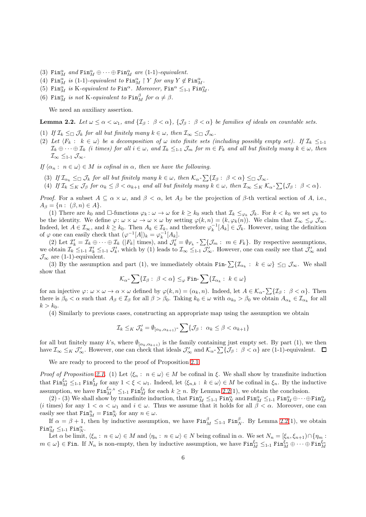- (3)  $\text{Fin}_{M}^{\alpha}$  and  $\text{Fin}_{M}^{\alpha} \oplus \cdots \oplus \text{Fin}_{M}^{\alpha}$  are (1-1)-equivalent.
- (4) Fin $_{M}^{\alpha}$  is (1-1)-equivalent to Fin $_{M}^{\alpha}$  | Y for any  $Y \notin \text{Fin}_{M}^{\alpha}$ .
- (5) Fin $^{\alpha}_{M}$  is K-equivalent to Fin<sup> $\alpha$ </sup>. Moreover, Fin $^{\alpha}$   $\leq_{1-1}$  Fin $^{\alpha}_{M}$ .
- (6) Fin $_M^{\alpha}$  is not K-equivalent to Fin $_M^{\beta}$  for  $\alpha \neq \beta$ .

We need an auxiliary assertion.

<span id="page-5-0"></span>**Lemma 2.2.** Let  $\omega \leq \alpha < \omega_1$ , and  $\{ \mathcal{I}_\beta : \beta < \alpha \}$ ,  $\{ \mathcal{J}_\beta : \beta < \alpha \}$  be families of ideals on countable sets.

- (1) If  $\mathcal{I}_k \leq \mathcal{I}_k$  for all but finitely many  $k \in \omega$ , then  $\mathcal{I}_\infty \leq \mathcal{I}_\infty$ .
- (2) Let  $\langle F_k : k \in \omega \rangle$  be a decomposition of  $\omega$  into finite sets (including possibly empty set). If  $\mathcal{I}_k \leq_{1\text{-}1}$  $\mathcal{I}_k \oplus \cdots \oplus \mathcal{I}_k$  (i times) for all  $i \in \omega$ , and  $\mathcal{I}_k \leq_{1\cdot} 1$   $\mathcal{J}_m$  for  $m \in F_k$  and all but finitely many  $k \in \omega$ , then  $\mathcal{I}_{\infty} \leq_{1-1} \mathcal{J}_{\infty}$ .

If  $\{\alpha_n : n \in \omega\} \in M$  is cofinal in  $\alpha$ , then we have the following.

- (3) If  $\mathcal{I}_{\alpha_k} \leq_{\square} \mathcal{J}_k$  for all but finitely many  $k \in \omega$ , then  $\mathcal{K}_{\alpha}$ - $\sum \{\mathcal{I}_{\beta}: \ \beta < \alpha\} \leq_{\square} \mathcal{J}_{\infty}$ .
- (4) If  $\mathcal{I}_k \leq_K \mathcal{J}_\beta$  for  $\alpha_k \leq \beta < \alpha_{k+1}$  and all but finitely many  $k \in \omega$ , then  $\mathcal{I}_\infty \leq_K \mathcal{K}_\alpha$ - $\sum \{ \mathcal{J}_\beta : \beta < \alpha \}.$

*Proof.* For a subset  $A \subseteq \alpha \times \omega$ , and  $\beta < \alpha$ , let  $A_{\beta}$  be the projection of  $\beta$ -th vertical section of A, i.e.,  $A_{\beta} = \{n : (\beta, n) \in A\}.$ 

(1) There are  $k_0$  and  $\Box$ -functions  $\varphi_k : \omega \to \omega$  for  $k \geq k_0$  such that  $\mathcal{I}_k \leq_{\varphi_k} \mathcal{J}_k$ . For  $k < k_0$  we set  $\varphi_k$  to be the identity. We define  $\varphi: \omega \times \omega \to \omega \times \omega$  by setting  $\varphi(k,n) = (k, \varphi_k(n))$ . We claim that  $\mathcal{I}_{\infty} \leq_{\varphi} \mathcal{J}_{\infty}$ . Indeed, let  $A \in \mathcal{I}_{\infty}$ , and  $k \geq k_0$ . Then  $A_k \in \mathcal{I}_k$ , and therefore  $\varphi_k^{-1}[A_k] \in \mathcal{J}_k$ . However, using the definition of  $\varphi$  one can easily check that  $(\varphi^{-1}[A])_k = \varphi_k^{-1}[A_k]$ .

(2) Let  $\mathcal{I}'_k = \mathcal{I}_k \oplus \cdots \oplus \mathcal{I}_k$  ( $|F_k|$  times), and  $\mathcal{J}'_k = \emptyset_{F_k}$  -  $\sum \{\mathcal{J}_m : m \in F_k\}$ . By respective assumptions, we obtain  $\mathcal{I}_k \leq_{1-1} \mathcal{I}'_k \leq_{1-1} \mathcal{J}'_k$ , which by (1) leads to  $\mathcal{I}_{\infty} \leq_{1-1} \mathcal{J}'_{\infty}$ . However, one can easily see that  $\mathcal{J}'_{\infty}$  and  $\mathcal{J}_{\infty}$  are (1-1)-equivalent.

(3) By the assumption and part (1), we immediately obtain Fin- $\sum \{ \mathcal{I}_{\alpha_k} : k \in \omega \} \leq_{\square} \mathcal{J}_{\infty}$ . We shall show that

$$
\mathcal{K}_{\alpha} \text{-} \sum \{ \mathcal{I}_{\beta} : \ \beta < \alpha \} \leq_{\varphi} \text{Fin} \text{-} \sum \{ \mathcal{I}_{\alpha_k} : \ k \in \omega \}
$$

for an injective  $\varphi: \omega \times \omega \to \alpha \times \omega$  defined by  $\varphi(k,n) = (\alpha_k, n)$ . Indeed, let  $A \in \mathcal{K}_{\alpha}$ - $\sum \{\mathcal{I}_{\beta}: \beta < \alpha\}$ . Then there is  $\beta_0 < \alpha$  such that  $A_{\beta} \in I_{\beta}$  for all  $\beta > \beta_0$ . Taking  $k_0 \in \omega$  with  $\alpha_{k_0} > \beta_0$  we obtain  $A_{\alpha_k} \in I_{\alpha_k}$  for all  $k > k_0$ .

(4) Similarly to previous cases, constructing an appropriate map using the assumption we obtain

$$
\mathcal{I}_k \leq_K \mathcal{J}'_k = \emptyset_{[\alpha_k, \alpha_{k+1})} \sum \{ \mathcal{J}_\beta : \ \alpha_k \leq \beta < \alpha_{k+1} \}
$$

for all but finitely many k's, where  $\emptyset_{[\alpha_k,\alpha_{k+1})}$  is the family containing just empty set. By part (1), we then have  $\mathcal{I}_{\infty} \leq_K \mathcal{J}'_{\infty}$ . However, one can check that ideals  $\mathcal{J}'_{\infty}$  and  $\mathcal{K}_{\alpha}$ - $\sum \{\mathcal{J}_{\beta}: \beta < \alpha\}$  are (1-1)-equivalent.

We are ready to proceed to the proof of Proposition [2.1.](#page-4-1)

Proof of Proposition [2.1.](#page-4-1) (1) Let  $\langle \xi_n : n \in \omega \rangle \in M$  be cofinal in  $\xi$ . We shall show by transfinite induction that  $\text{Fin}_{M}^{\xi_n} \leq_{1\text{-}1} \text{Fin}_{M}^{\xi}$  for any  $1 < \xi < \omega_1$ . Indeed, let  $\langle \xi_{n,k} : k \in \omega \rangle \in M$  be cofinal in  $\xi_n$ . By the inductive assumption, we have  $\text{Fin}_{M}^{\xi_{n,k}} \leq_{1-1} \text{Fin}_{M}^{\xi_{k}}$  for each  $k \geq n$ . By Lemma [2.2\(](#page-5-0)1), we obtain the conclusion.

(2) - (3) We shall show by transfinite induction, that  $\text{Fin}_{M}^{\alpha} \leq_{1-1} \text{Fin}_{N}^{\alpha}$  and  $\text{Fin}_{M}^{\alpha} \leq_{1-1} \text{Fin}_{M}^{\alpha} \oplus \cdots \oplus \text{Fin}_{M}^{\alpha}$ (*i* times) for any  $1 < \alpha < \omega_1$  and  $i \in \omega$ . Thus we assume that it holds for all  $\beta < \alpha$ . Moreover, one can easily see that  $\text{Fin}_{M}^{n} = \text{Fin}_{N}^{n}$  for any  $n \in \omega$ .

If  $\alpha = \beta + 1$ , then by inductive assumption, we have  $\text{Fin}_{M}^{\beta} \leq_{1-1} \text{Fin}_{N}^{\beta}$ . By Lemma [2.2\(](#page-5-0)1), we obtain  $\mathtt{Fin}_{M}^{\alpha} \leq_{1\text{-}1} \mathtt{Fin}_{N}^{\alpha}.$ 

Let  $\alpha$  be limit,  $\langle \xi_n : n \in \omega \rangle \in M$  and  $\langle \eta_n : n \in \omega \rangle \in N$  being cofinal in  $\alpha$ . We set  $N_n = [\xi_n, \xi_{n+1}) \cap \{\eta_m : n \in \omega\}$  $m \in \omega$   $\} \in \text{Fin}$ . If  $N_n$  is non-empty, then by inductive assumption, we have  $\text{Fin}_{M}^{\xi_n} \leq_{1\text{-}1} \text{Fin}_{M}^{\xi_n} \oplus \cdots \oplus \text{Fin}_{M}^{\xi_n}$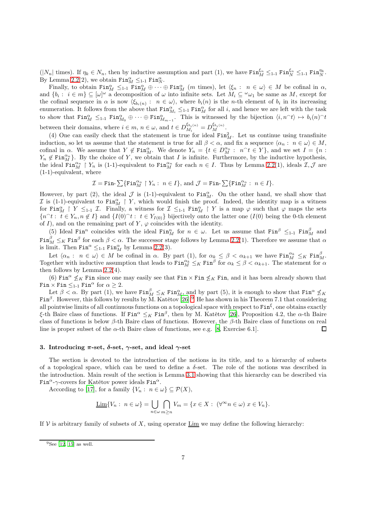$(|N_n| \text{ times})$ . If  $\eta_k \in N_n$ , then by inductive assumption and part (1), we have  $\text{Fin}_{M}^{\xi_n} \leq_{1-1} \text{Fin}_{N}^{\xi_n} \leq_{1-1} \text{Fin}_{N}^{\eta_k}$ . By Lemma [2.2\(](#page-5-0)2), we obtain  $\text{Fin}_{M}^{\alpha} \leq_{1\text{-}1} \text{Fin}_{N}^{\alpha}$ .

Finally, to obtain  $\text{Fin}_{M}^{\alpha} \leq_{1-1} \text{Fin}_{M}^{\alpha} \oplus \cdots \oplus \text{Fin}_{M}^{\alpha}$  (*m* times), let  $\langle \xi_n : n \in \omega \rangle \in M$  be cofinal in  $\alpha$ , and  $\{b_i: i \in m\} \subseteq [\omega]^\omega$  a decomposition of  $\omega$  into infinite sets. Let  $M_i \subseteq {}^{\omega}\omega_1$  be same as M, except for the cofinal sequence in  $\alpha$  is now  $\langle \xi_{b_i(n)} : n \in \omega \rangle$ , where  $b_i(n)$  is the *n*-th element of  $b_i$  in its increasing enumeration. It follows from the above that  $\text{Fin}_{M_i}^{\alpha} \leq_{1\text{-}1} \text{Fin}_{M}^{\alpha}$  for all i, and hence we are left with the task to show that  $\text{Fin}_{M}^{\alpha} \leq_{1-1} \text{Fin}_{M_0}^{\alpha} \oplus \cdots \oplus \text{Fin}_{M_{m-1}}^{\alpha}$ . This is witnessed by the bijection  $\langle i, n \rangle \mapsto b_i(n) \hat{\ }$ between their domains, where  $i \in m$ ,  $n \in \omega$ , and  $t \in D_{M_i}^{\xi_{b_i(n)}} = D_M^{\xi_{b_i(n)}}$ .

(4) One can easily check that the statement is true for ideal  $\text{Fin}_{M}^2$ . Let us continue using transfinite induction, so let us assume that the statement is true for all  $\beta < \alpha$ , and fix a sequence  $\langle \alpha_n : n \in \omega \rangle \in M$ , cofinal in  $\alpha$ . We assume that  $Y \notin \text{Fin}_{M}^{\alpha}$ . We denote  $Y_n = \{t \in D_{M}^{\alpha_n} : n \in Y\}$ , and we set  $I = \{n :$  $Y_n \notin \text{Fin}_{M}^{\alpha_n}$ . By the choice of Y, we obtain that I is infinite. Furthermore, by the inductive hypothesis, the ideal  $\overline{\text{Fin}_{M}^{\alpha_n}} \restriction Y_n$  is (1-1)-equivalent to  $\text{Fin}_{M}^{\alpha_n}$  for each  $n \in I$ . Thus by Lemma [2.2\(](#page-5-0)1), ideals  $\mathcal{I}, \mathcal{J}$  are (1-1)-equivalent, where

$$
\mathcal{I}=\text{Fin-}\sum\{\text{Fin}^{\alpha_n}_M\restriction Y_n:\ n\in I\},\ \text{and}\ \mathcal{J}=\text{Fin-}\sum\{\text{Fin}^{\alpha_n}_M:\ n\in I\}.
$$

However, by part (2), the ideal  $\mathcal J$  is (1-1)-equivalent to  $\text{Fin}_{M}^{\alpha}$ . On the other hand, we shall show that I is (1-1)-equivalent to  $\text{Fin}_{M}^{\alpha} \restriction Y$ , which would finish the proof. Indeed, the identity map is a witness for  $\text{Fin}_{M}^{\alpha}$  |  $Y \leq_{1-1} \mathcal{I}$ . Finally, a witness for  $\mathcal{I} \leq_{1-1} \text{Fin}_{M}^{\alpha}$  |  $Y$  is a map  $\varphi$  such that  $\varphi$  maps the sets  ${n \atop t}$   $t \in Y_n, n \notin I$  and  $\{I(0) \atop t \in Y_{I(0)}\}$  bijectively onto the latter one  $(I(0))$  being the 0-th element of I), and on the remaining part of Y,  $\varphi$  coincides with the identity.

(5) Ideal Fin<sup>n</sup> coincides with the ideal Fin<sub>n</sub> for  $n \in \omega$ . Let us assume that Fin<sup> $\beta$ </sup>  $\leq_{1-1}$  Fin<sub>n</sub><sup> $\beta$ </sup> and  $\text{Fin}_{M}^{\beta} \leq_K \text{Fin}^{\beta}$  for each  $\beta < \alpha$ . The successor stage follows by Lemma [2.2\(](#page-5-0)1). Therefore we assume that  $\alpha$ is limit. Then  $\text{Fin}^{\alpha} \leq_{1\text{-}1} \text{Fin}^{\alpha}_{M}$  by Lemma [2.2\(](#page-5-0)3).

Let  $\langle \alpha_n : n \in \omega \rangle \in M$  be cofinal in  $\alpha$ . By part (1), for  $\alpha_k \leq \beta < \alpha_{k+1}$  we have  $\text{Fin}_{M}^{\alpha_k} \leq_K \text{Fin}_{M}^{\beta}$ . Together with inductive assumption that leads to  $\text{Fin}_{M}^{\alpha_k} \leq_K \text{Fin}^{\beta}$  for  $\alpha_k \leq \beta < \alpha_{k+1}$ . The statement for  $\alpha$ then follows by Lemma [2.2\(](#page-5-0)4).

(6) Fin<sup> $\alpha$ </sup>  $\leq_K$  Fin since one may easily see that Fin  $\times$  Fin  $\leq_K$  Fin, and it has been already shown that Fin  $\times$  Fin  $\leq_{1-1}$  Fin<sup> $\alpha$ </sup> for  $\alpha \geq 2$ .

Let  $\beta < \alpha$ . By part (1), we have  $\text{Fin}_{M}^{\beta} \leq_K \text{Fin}_{M}^{\alpha}$ , and by part (5), it is enough to show that  $\text{Fin}^{\alpha} \not\leq_K$ Fin<sup>β</sup>. However, this follows by results by M. Katětov [\[26\]](#page-26-12):<sup>[9](#page-6-1)</sup> He has shown in his Theorem 7.1 that considering all pointwise limits of all continuous functions on a topological space with respect to  $\text{Fin}^{\xi}$ , one obtains exactly ξ-th Baire class of functions. If  $\text{Fin}^\alpha \leq_K \text{Fin}^\beta$ , then by M. Katětov [\[26\]](#page-26-12), Proposition 4.2, the α-th Baire class of functions is below  $\beta$ -th Baire class of functions. However, the  $\beta$ -th Baire class of functions on real line is proper subset of the  $\alpha$ -th Baire class of functions, see e.g. [\[8,](#page-26-20) Exercise 6.1].  $\Box$ 

## <span id="page-6-0"></span>3. Introducing π-set, δ-set,  $γ$ -set, and ideal  $γ$ -set

The section is devoted to the introduction of the notions in its title, and to a hierarchy of subsets of a topological space, which can be used to define a  $\delta$ -set. The role of the notions was described in the introduction. Main result of the section is Lemma [3.1](#page-7-0) showing that this hierarchy can be described via Fin<sup>α</sup>-γ-covers for Katětov power ideals Fin<sup>α</sup>.

According to [\[17\]](#page-26-0), for a family  $\{V_n: n \in \omega\} \subset \mathcal{P}(X)$ ,

$$
\underline{\text{Lim}}\{V_n: n \in \omega\} = \bigcup_{n \in \omega} \bigcap_{m \ge n} V_m = \{x \in X: (\forall^{\infty} n \in \omega) \ x \in V_n\}.
$$

If  $V$  is arbitrary family of subsets of X, using operator Lim we may define the following hierarchy:

<span id="page-6-1"></span> $9$ See [\[12,](#page-26-23) [15](#page-26-25)] as well.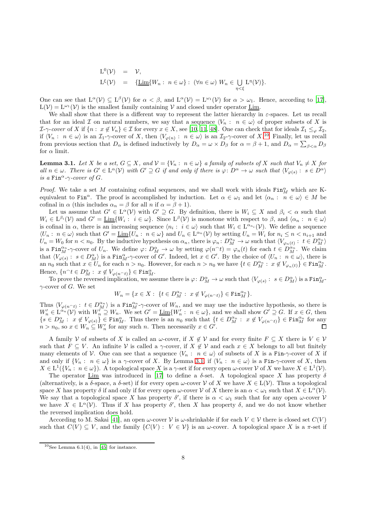$$
\begin{array}{rcl}\n\mathcal{L}^0(\mathcal{V}) & = & \mathcal{V}, \\
\mathcal{L}^\xi(\mathcal{V}) & = & \{\underline{\mathcal{L}im}\{W_n : n \in \omega\} : (\forall n \in \omega) \ W_n \in \bigcup_{\eta < \xi} \mathcal{L}^\eta(\mathcal{V})\}.\n\end{array}
$$

One can see that  $L^{\alpha}(\mathcal{V}) \subseteq L^{\beta}(\mathcal{V})$  for  $\alpha < \beta$ , and  $L^{\alpha}(\mathcal{V}) = L^{\omega_1}(\mathcal{V})$  for  $\alpha > \omega_1$ . Hence, according to [\[17](#page-26-0)],  $L(\mathcal{V}) = L^{\omega_1}(\mathcal{V})$  is the smallest family containing V and closed under operator Lim.

We shall show that there is a different way to represent the latter hierarchy in  $\varepsilon$ -spaces. Let us recall that for an ideal I on natural numbers, we say that a sequence  $\langle V_n : n \in \omega \rangle$  of proper subsets of X is  $\mathcal{I}\text{-}\gamma\text{-}cover \text{ of } X \text{ if } \{n: x \notin V_n\} \in \mathcal{I} \text{ for every } x \in X \text{, see } [10, 11, 48].$  $\mathcal{I}\text{-}\gamma\text{-}cover \text{ of } X \text{ if } \{n: x \notin V_n\} \in \mathcal{I} \text{ for every } x \in X \text{, see } [10, 11, 48].$  $\mathcal{I}\text{-}\gamma\text{-}cover \text{ of } X \text{ if } \{n: x \notin V_n\} \in \mathcal{I} \text{ for every } x \in X \text{, see } [10, 11, 48].$  $\mathcal{I}\text{-}\gamma\text{-}cover \text{ of } X \text{ if } \{n: x \notin V_n\} \in \mathcal{I} \text{ for every } x \in X \text{, see } [10, 11, 48].$  $\mathcal{I}\text{-}\gamma\text{-}cover \text{ of } X \text{ if } \{n: x \notin V_n\} \in \mathcal{I} \text{ for every } x \in X \text{, see } [10, 11, 48].$  $\mathcal{I}\text{-}\gamma\text{-}cover \text{ of } X \text{ if } \{n: x \notin V_n\} \in \mathcal{I} \text{ for every } x \in X \text{, see } [10, 11, 48].$  One can check that for ideals  $\mathcal{I}_1 \leq_{\varphi} \mathcal{I}_2$ , if  $\langle V_n : n \in \omega \rangle$  is an  $\mathcal{I}_1$ - $\gamma$ -cover of X, then  $\langle V_{\varphi(n)} : n \in \omega \rangle$  is an  $\mathcal{I}_2$ - $\gamma$ -cover of X.<sup>[10](#page-7-1)</sup> Finally, let us recall from previous section that  $D_{\alpha}$  is defined inductively by  $D_{\alpha} = \omega \times D_{\beta}$  for  $\alpha = \beta + 1$ , and  $D_{\alpha} = \sum_{\beta < \alpha} D_{\beta}$ for  $\alpha$  limit.

<span id="page-7-0"></span>**Lemma 3.1.** Let X be a set,  $G \subseteq X$ , and  $V = \{V_n : n \in \omega\}$  a family of subsets of X such that  $V_n \neq X$  for all  $n \in \omega$ . There is  $G' \in L^{\alpha}(\mathcal{V})$  with  $G' \supseteq G$  if and only if there is  $\varphi: D^{\alpha} \to \omega$  such that  $\langle V_{\varphi(s)}: s \in D^{\alpha} \rangle$ is a Fin<sup> $\alpha$ </sup>- $\gamma$ -cover of G.

*Proof.* We take a set M containing cofinal sequences, and we shall work with ideals  $\text{Fin}_{M}^{\alpha}$  which are Kequivalent to Fin<sup>α</sup>. The proof is accomplished by induction. Let  $\alpha \in \omega_1$  and let  $\langle \alpha_n : n \in \omega \rangle \in M$  be cofinal in  $\alpha$  (this includes  $\alpha_n = \beta$  for all n if  $\alpha = \beta + 1$ ).

Let us assume that  $G' \in L^{\alpha}(\mathcal{V})$  with  $G' \supseteq G$ . By definition, there is  $W_i \subseteq X$  and  $\beta_i < \alpha$  such that  $W_i \in L^{\beta_i}(\mathcal{V})$  and  $G' = \underline{\text{Lim}}\{W_i : i \in \omega\}$ . Since  $L^{\beta}(\mathcal{V})$  is monotone with respect to  $\beta$ , and  $\langle \alpha_n : n \in \omega \rangle$ is cofinal in  $\alpha$ , there is an increasing sequence  $\langle n_i : i \in \omega \rangle$  such that  $W_i \in L^{\alpha_{n_i}}(\mathcal{V})$ . We define a sequence  $\langle U_n : n \in \omega \rangle$  such that  $G' = \underline{\text{Lim}}\{U_n : n \in \omega\}$  and  $U_n \in L^{\alpha_n}(\mathcal{V})$  by setting  $U_n = W_i$  for  $n_i \leq n < n_{i+1}$  and  $U_n = W_0$  for  $n < n_0$ . By the inductive hypothesis on  $\alpha_n$ , there is  $\varphi_n \colon D_M^{\alpha_n} \to \omega$  such that  $\langle V_{\varphi_n(t)} : t \in D_M^{\alpha_n} \rangle$ is a Fin $_{M}^{\alpha_{n}}$ - $\gamma$ -cover of  $U_{n}$ . We define  $\varphi: D_{M}^{\alpha} \to \omega$  by setting  $\varphi(n^{\alpha}t) = \varphi_{n}(t)$  for each  $t \in D_{M}^{\alpha_{n}}$ . We claim that  $\langle V_{\varphi(s)}: s \in D_M^{\alpha} \rangle$  is a Fin $_M^{\alpha}$ - $\gamma$ -cover of G'. Indeed, let  $x \in G'$ . By the choice of  $\langle U_n: n \in \omega \rangle$ , there is an  $n_0$  such that  $x \in U_n$  for each  $n > n_0$ . However, for each  $n > n_0$  we have  $\{t \in D_M^{\alpha_n} : x \notin V_{\varphi_n(t)}\} \in \text{Fin}_M^{\alpha_n}$ . Hence,  $\{n^{\hat{}}t \in D_M^{\alpha} : x \notin V_{\varphi(n^{\hat{}}t)}\} \in \text{Fin}_M^{\alpha}.$ 

To prove the reversed implication, we assume there is  $\varphi: D_M^{\alpha} \to \omega$  such that  $\langle V_{\varphi(s)}: s \in D_M^{\alpha} \rangle$  is a  $\text{Fin}_{M}^{\alpha}$ - $\gamma$ -cover of G. We set

$$
W_n = \{ x \in X : \{ t \in D_M^{\alpha_n} : x \notin V_{\varphi(n^\frown t)} \} \in \text{Fin}_M^{\alpha_n} \}.
$$

Thus  $\langle V_{\varphi(n\gamma)}: t \in D_M^{\alpha_n} \rangle$  is a Fin $_M^{\alpha_n}$ - $\gamma$ -cover of  $W_n$ , and we may use the inductive hypothesis, so there is  $W'_n \in L^{\alpha_n}(\mathcal{V})$  with  $W'_n \supseteq W_n$ . We set  $G' = \underline{\text{Lim}}\{W'_n : n \in \omega\}$ , and we shall show  $G' \supseteq G$ . If  $x \in G$ , then  $\{s \in D_M^{\alpha}: x \notin V_{\varphi(s)}\} \in \text{Fin}_{M}^{\alpha}$ . Thus there is an  $n_0$  such that  $\{t \in D_M^{\alpha_n}: x \notin V_{\varphi(n^{\frown}t)}\} \in \text{Fin}_{M}^{\alpha_n}$  for any  $n > n_0$ , so  $x \in W_n \subseteq W_n'$  for any such n. Then necessarily  $x \in G'$ .

A family V of subsets of X is called an  $\omega$ -cover, if  $X \notin V$  and for every finite  $F \subseteq X$  there is  $V \in V$ such that  $F \subseteq V$ . An infinite V is called a  $\gamma$ -cover, if  $X \notin V$  and each  $x \in X$  belongs to all but finitely many elements of V. One can see that a sequence  $\langle V_n : n \in \omega \rangle$  of subsets of X is a Fin- $\gamma$ -cover of X if and only if  $\{V_n : n \in \omega\}$  is a  $\gamma$ -cover of X. By Lemma [3.1,](#page-7-0) if  $\langle V_n : n \in \omega \rangle$  is a Fin- $\gamma$ -cover of X, then  $X \in L^1(\{V_n: n \in \omega\})$ . A topological space X is a  $\gamma$ -set if for every open  $\omega$ -cover V of X we have  $X \in L^1(\mathcal{V})$ .

The operator Lim was introduced in [\[17\]](#page-26-0) to define a  $\delta$ -set. A topological space X has property  $\delta$ (alternatively, is a  $\delta$ -space, a  $\delta$ -set) if for every open  $\omega$ -cover V of X we have  $X \in L(V)$ . Thus a topological space X has property  $\delta$  if and only if for every open  $\omega$ -cover V of X there is an  $\alpha < \omega_1$  such that  $X \in L^{\alpha}(\mathcal{V})$ . We say that a topological space X has property  $\delta'$ , if there is  $\alpha < \omega_1$  such that for any open  $\omega$ -cover V we have  $X \in L^{\alpha}(\mathcal{V})$ . Thus if X has property  $\delta'$ , then X has property  $\delta$ , and we do not know whether the reversed implication does hold.

According to M. Sakai [\[41\]](#page-26-3), an open  $\omega$ -cover V is  $\omega$ -shrinkable if for each  $V \in V$  there is closed set  $C(V)$ such that  $C(V) \subseteq V$ , and the family  $\{C(V): V \in V\}$  is an  $\omega$ -cover. A topological space X is a  $\pi$ -set if

<span id="page-7-1"></span><sup>&</sup>lt;sup>10</sup>See Lemma 6.1(4), in [\[45\]](#page-26-19) for instance.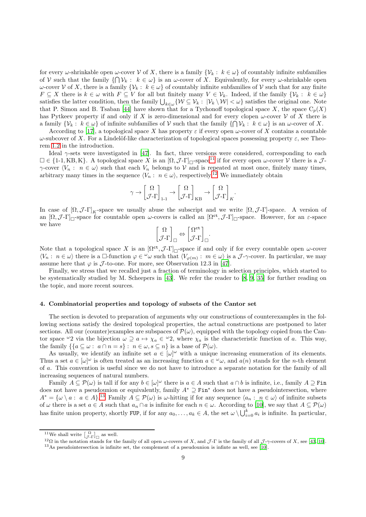for every  $\omega$ -shrinkable open  $\omega$ -cover V of X, there is a family  $\{V_k : k \in \omega\}$  of countably infinite subfamilies of V such that the family  $\{\bigcap \mathcal{V}_k : k \in \omega\}$  is an  $\omega$ -cover of X. Equivalently, for every  $\omega$ -shrinkable open  $ω$ -cover *V* of *X*, there is a family {*V<sub>k</sub>* :  $k ∈ ω$ } of countably infinite subfamilies of *V* such that for any finite  $F \subseteq X$  there is  $k \in \omega$  with  $F \subseteq V$  for all but finitely many  $V \in \mathcal{V}_k$ . Indeed, if the family  $\{ \mathcal{V}_k : k \in \omega \}$ satisfies the latter condition, then the family  $\bigcup_{k\in\omega}\{\mathcal{W}\subseteq\mathcal{V}_k:\ |\mathcal{V}_k\setminus\mathcal{W}|<\omega\}$  satisfies the original one. Note that P. Simon and B. Tsaban [\[44](#page-26-5)] have shown that for a Tychonoff topological space  $X$ , the space  $C_p(X)$ has Pytkeev property if and only if X is zero-dimensional and for every clopen  $\omega$ -cover V of X there is a family  $\{\mathcal{V}_k: k \in \omega\}$  of infinite subfamilies of V such that the family  $\{\bigcap \mathcal{V}_k: k \in \omega\}$  is an  $\omega$ -cover of X.

According to [\[17\]](#page-26-0), a topological space X has property  $\varepsilon$  if every open  $\omega$ -cover of X contains a countable ω-subcover of X. For a Lindelöf-like characterization of topological spaces possessing property  $ε$ , see Theorem [1.2](#page-2-0) in the introduction.

Ideal  $\gamma$ -sets were investigated in [\[47\]](#page-26-9). In fact, three versions were considered, corresponding to each  $\square \in \{1\text{-}1, \text{KB}, \text{K}\}.$  A topological space X is an  $\lbrack \Omega, \mathcal{J}\text{-}\Gamma \rbrack_{\square}$ -space<sup>[11](#page-8-1)</sup> if for every open  $\omega$ -cover V there is a  $\mathcal{J}\text{-}$  $\gamma$ -cover  $\langle V_n : n \in \omega \rangle$  such that each  $V_n$  belongs to V and is repeated at most once, finitely many times, arbitrary many times in the sequence  $\langle V_n : n \in \omega \rangle$ , respectively.<sup>[12](#page-8-2)</sup> We immediately obtain

$$
\gamma \to \begin{bmatrix} \Omega \\ \mathcal{J}\text{-}\Gamma \end{bmatrix}_{1\text{-}1} \to \begin{bmatrix} \Omega \\ \mathcal{J}\text{-}\Gamma \end{bmatrix}_{KB} \to \begin{bmatrix} \Omega \\ \mathcal{J}\text{-}\Gamma \end{bmatrix}_{K}.
$$

In case of  $[\Omega, \mathcal{J} - \Gamma]_K$ -space we usually abuse the subscript and we write  $[\Omega, \mathcal{J} - \Gamma]$ -space. A version of an  $[\Omega, \mathcal{J}\text{-}\Gamma]_{\square}$ -space for countable open  $\omega$ -covers is called an  $[\Omega^{\text{ct}}, \mathcal{J}\text{-}\Gamma]_{\square}$ -space. However, for an  $\varepsilon$ -space we have

$$
\begin{bmatrix} \Omega \\ \mathcal{J}\text{-}\Gamma \end{bmatrix}_{\square} \Leftrightarrow \begin{bmatrix} \Omega^{\text{ct}} \\ \mathcal{J}\text{-}\Gamma \end{bmatrix}_{\square}.
$$

Note that a topological space X is an  $[\Omega^{\tt ct}, \mathcal{J}\text{-}\Gamma]_{\square}$ -space if and only if for every countable open  $\omega$ -cover  $\langle V_n : n \in \omega \rangle$  there is a  $\Box$ -function  $\varphi \in \omega$  such that  $\langle V_{\varphi(m)} : m \in \omega \rangle$  is a  $\mathcal{J}$ - $\gamma$ -cover. In particular, we may assume here that  $\varphi$  is  $\mathcal{J}$ -to-one. For more, see Observation 12.3 in [\[47](#page-26-9)].

Finally, we stress that we recalled just a fraction of terminology in selection principles, which started to be systematically studied by M. Scheepers in [\[43\]](#page-26-31). We refer the reader to [\[8](#page-26-20), [9,](#page-26-32) [35](#page-26-33)] for further reading on the topic, and more recent sources.

# <span id="page-8-0"></span>4. Combinatorial properties and topology of subsets of the Cantor set

The section is devoted to preparation of arguments why our constructions of counterexamples in the following sections satisfy the desired topological properties, the actual constructions are postponed to later sections. All our (counter)examples are subspaces of  $\mathcal{P}(\omega)$ , equipped with the topology copied from the Cantor space  $\omega_2$  via the bijection  $\omega \supseteq a \mapsto \chi_a \in \omega_2$ , where  $\chi_a$  is the characteristic function of a. This way, the family  $\{ \{ a \subseteq \omega : a \cap n = s \} : n \in \omega, s \subseteq n \}$  is a base of  $\mathcal{P}(\omega)$ .

As usually, we identify an infinite set  $a \in [\omega]^{\omega}$  with a unique increasing enumeration of its elements. Thus a set  $a \in [\omega]^\omega$  is often treated as an increasing function  $a \in \omega$ , and  $a(n)$  stands for the *n*-th element of a. This convention is useful since we do not have to introduce a separate notation for the family of all increasing sequences of natural numbers.

Family  $A \subseteq \mathcal{P}(\omega)$  is tall if for any  $b \in [\omega]^{\omega}$  there is  $a \in A$  such that  $a \cap b$  is infinite, i.e., family  $A \supseteq \text{Fin}$ does not have a pseudounion or equivalently, family  $A^* \supseteq$  Fin<sup>\*</sup> does not have a pseudointersection, where  $A^* = {\omega \setminus a : a \in A}.$ <sup>[13](#page-8-3)</sup> Family  $A \subseteq \mathcal{P}(\omega)$  is  $\omega$ -hitting if for any sequence  $\langle a_n : n \in \omega \rangle$  of infinite subsets of  $\omega$  there is a set  $a \in A$  such that  $a_n \cap a$  is infinite for each  $n \in \omega$ . According to [\[10\]](#page-26-28), we say that  $A \subseteq \mathcal{P}(\omega)$ has finite union property, shortly FUP, if for any  $a_0, \ldots, a_k \in A$ , the set  $\omega \setminus \bigcup_{i=0}^k a_i$  is infinite. In particular,

<sup>&</sup>lt;sup>11</sup>We shall write  $\begin{bmatrix} \Omega \\ \mathcal{J}\text{-}\Gamma \end{bmatrix}_{\square}$  as well.

<span id="page-8-1"></span><sup>&</sup>lt;sup>12</sup>Ω in the notation stands for the family of all open ω-covers of X, and J-Γ is the family of all J- $\gamma$ -covers of X, see [\[43,](#page-26-31) [10](#page-26-28)].

<span id="page-8-3"></span><span id="page-8-2"></span><sup>13</sup>As pseudointersection is infinite set, the complement of a pseudounion is infinte as well, see [\[10](#page-26-28)].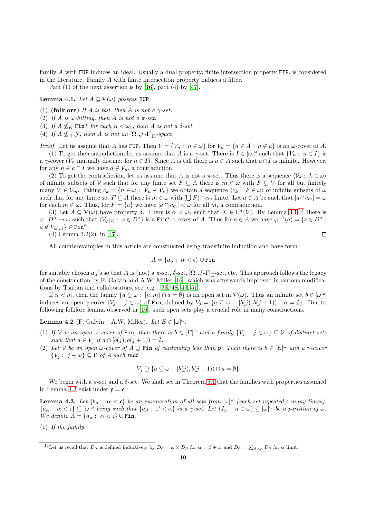family A with FUP induces an ideal. Usually a dual property, finite intersection property FIP, is considered in the literature. Family A with finite intersection property induces a filter.

Part  $(1)$  of the next assertion is by [\[16](#page-26-11)], part  $(4)$  by [\[47](#page-26-9)].

<span id="page-9-3"></span>Lemma 4.1. Let  $A \subseteq \mathcal{P}(\omega)$  possess FUP.

(1) (folklore) If A is tall, then A is not a  $\gamma$ -set.

(2) If A is  $\omega$ -hitting, then A is not a  $\pi$ -set.

(3) If  $A \nleq_K \text{Fin}^\alpha$  for each  $\alpha < \omega_1$ , then A is not a  $\delta$ -set.

(4) If  $A \nleq \mathcal{J}$ , then A is not an  $[\Omega, \mathcal{J} - \Gamma]_{\Box}$ -space.

*Proof.* Let us assume that A has FUP. Then  $V = \{V_n : n \in \omega\}$  for  $V_n = \{a \in A : n \notin a\}$  is an  $\omega$ -cover of A.

(1) To get the contradiction, let us assume that A is a  $\gamma$ -set. There is  $I \in [\omega]^\omega$  such that  $\{V_n : n \in I\}$  is a  $\gamma$ -cover ( $V_n$  mutually distinct for  $n \in I$ ). Since A is tall there is  $a \in A$  such that  $a \cap I$  is infinite. However, for any  $n \in a \cap I$  we have  $a \notin V_n$ , a contradiction.

(2) To get the contradiction, let us assume that A is not a  $\pi$ -set. Thus there is a sequence  $\langle V_k : k \in \omega \rangle$ of infinite subsets of V such that for any finite set  $F \subseteq A$  there is  $m \in \omega$  with  $F \subseteq V$  for all but finitely many  $V \in \mathcal{V}_m$ . Taking  $c_k = \{n \in \omega : V_n \in \mathcal{V}_k\}$  we obtain a sequence  $\langle c_k : k \in \omega \rangle$  of infinite subsets of  $\omega$ such that for any finite set  $F \subseteq A$  there is  $m \in \omega$  with  $(\bigcup F) \cap c_m$  finite. Let  $a \in A$  be such that  $|a \cap c_m| = \omega$ for each  $m \in \omega$ . Thus, for  $F = \{a\}$  we have  $|a \cap c_m| < \omega$  for all m, a contradiction.

(3) Let  $A \subseteq \mathcal{P}(\omega)$  have property  $\delta$ . There is  $\alpha < \omega_1$  such that  $X \in L^{\alpha}(\mathcal{V})$ . By Lemma [3.1,](#page-7-0)<sup>[14](#page-9-0)</sup> there is  $\varphi: D^{\alpha} \to \omega$  such that  $\langle V_{\varphi(s)}: s \in D^{\alpha} \rangle$  is a Fin<sup> $\alpha$ </sup>- $\gamma$ -cover of A. Thus for  $a \in A$  we have  $\varphi^{-1}(a) = \{s \in D^{\alpha} : s \in D^{\alpha} \}$  $a \notin V_{\varphi(s)}\} \in \text{Fin}^{\alpha}.$  $\Box$ 

(4) Lemma 3.2(2), in [\[47\]](#page-26-9).

All counterexamples in this article are constructed using transfinite induction and have form

$$
A = \{a_{\alpha} : \ \alpha < \mathfrak{c}\} \cup \texttt{Fin}
$$

for suitably chosen  $a_{\alpha}$ 's so that A is (not) a  $\pi$ -set,  $\delta$ -set,  $[\Omega, \mathcal{J}\text{-}\Gamma]_{\square}$ -set, etc. This approach follows the legacy of the construction by F. Galvin and A.W. Miller [\[16\]](#page-26-11), which was afterwards improved in various modifications by Tsaban and collaborators, see, e.g., [\[33,](#page-26-10) [48,](#page-26-30) [49,](#page-26-34) [51\]](#page-26-35).

If  $n < m$ , then the family  $\{a \subseteq \omega : [n,m) \cap a = \emptyset\}$  is an open set in  $\mathcal{P}(\omega)$ . Thus an infinite set  $b \in [\omega]^{\omega}$ induces an open  $\gamma$ -cover  $\langle V_j : j \in \omega \rangle$  of Fin, defined by  $V_j = \{a \subseteq \omega : [b(j), b(j + 1)) \cap a = \emptyset\}$ . Due to following folklore lemma observed in [\[16\]](#page-26-11), such open sets play a crucial role in many constructions.

<span id="page-9-2"></span>**Lemma 4.2** (F. Galvin – A.W. Miller). Let  $E \in [\omega]^\omega$ .

- (1) If  $\mathcal V$  is an open  $\omega$ -cover of Fin, then there is  $b \in [E]^\omega$  and a family  $\{V_j : j \in \omega\} \subseteq \mathcal V$  of distinct sets such that  $a \in V_j$  if  $a \cap [b(j), b(j+1)) = \emptyset$ .
- (2) Let V be an open  $\omega$ -cover of  $A \supseteq$  Fin of cardinality less than  $\mathfrak{p}$ . Then there is  $b \in [E]^{\omega}$  and a  $\gamma$ -cover  ${V_i: j \in \omega} \subseteq V$  of A such that

$$
V_j \supseteq \{a \subseteq \omega : [b(j), b(j+1)) \cap a = \emptyset\}.
$$

We begin with a  $\pi$ -set and a  $\delta$ -set. We shall see in Theorem 5.1 that the families with properties assumed in Lemma [4.3](#page-9-1) exist under  $p = c$ .

<span id="page-9-1"></span>**Lemma 4.3.** Let  $\{b_{\alpha}:\ \alpha < \mathfrak{c}\}\$  be an enumeration of all sets from  $[\omega]^{\omega}$  (each set repeated  $\mathfrak{c}$  many times),  ${a_{\alpha}: \alpha < \mathfrak{c}} \subseteq [\omega]^{\omega}$  being such that  ${a_{\beta}: \beta < \alpha}$  is a  $\gamma$ -set. Let  ${I_n: n \in \omega} \subseteq [\omega]^{\omega}$  be a partition of  $\omega$ . We denote  $A = \{a_{\alpha} : \alpha < \mathfrak{c}\}\cup \text{Fin}.$ 

(1) If the family

<span id="page-9-0"></span><sup>&</sup>lt;sup>14</sup>Let us recall that  $D_{\alpha}$  is defined inductively by  $D_{\alpha} = \omega \times D_{\beta}$  for  $\alpha = \beta + 1$ , and  $D_{\alpha} = \sum_{\beta < \alpha} D_{\beta}$  for  $\alpha$  limit.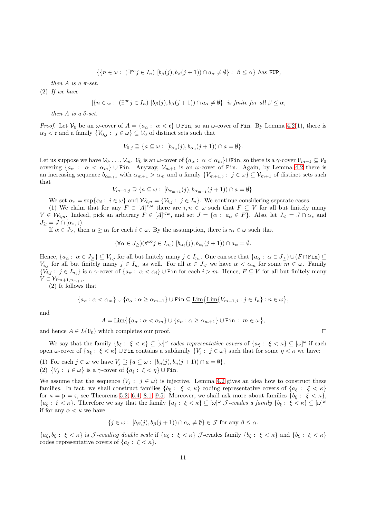$$
\{\{n\in\omega:\ (\exists^\infty j\in I_n)\ [b_\beta(j),b_\beta(j+1))\cap a_\alpha\neq\emptyset\}:\ \beta\leq\alpha\}\ \text{has FUP},
$$

then  $A$  is a  $\pi$ -set.

<span id="page-10-0"></span>(2) If we have

$$
|\{n \in \omega : (\exists^{\infty} j \in I_n) \; [b_{\beta}(j), b_{\beta}(j+1)) \cap a_{\alpha} \neq \emptyset\}| \text{ is finite for all } \beta \leq \alpha,
$$

then A is a  $\delta$ -set.

*Proof.* Let  $V_0$  be an  $\omega$ -cover of  $A = \{a_\alpha : \alpha < \mathfrak{c} \} \cup \text{Fin}$ , so an  $\omega$ -cover of Fin. By Lemma [4.2\(](#page-9-2)1), there is  $\alpha_0 < \mathfrak{c}$  and a family  $\{V_{0,j} : j \in \omega\} \subseteq V_0$  of distinct sets such that

$$
V_{0,j} \supseteq \{a \subseteq \omega : [b_{\alpha_0}(j), b_{\alpha_0}(j+1)) \cap a = \emptyset\}.
$$

Let us suppose we have  $V_0, \ldots, V_m$ .  $V_0$  is an  $\omega$ -cover of  $\{a_\alpha : \alpha < \alpha_m\}$ UFin, so there is a  $\gamma$ -cover  $V_{m+1} \subseteq V_0$ covering  $\{a_{\alpha} : \alpha < \alpha_m\}$  U Fin. Anyway,  $\mathcal{V}_{m+1}$  is an  $\omega$ -cover of Fin. Again, by Lemma [4.2](#page-9-2) there is an increasing sequence  $b_{\alpha_{m+1}}$  with  $\alpha_{m+1} > \alpha_m$  and a family  $\{V_{m+1,j} : j \in \omega\} \subseteq V_{m+1}$  of distinct sets such that

$$
V_{m+1,j} \supseteq \{a \subseteq \omega : [b_{\alpha_{m+1}}(j), b_{\alpha_{m+1}}(j+1)) \cap a = \emptyset\}.
$$

We set  $\alpha_* = \sup{\{\alpha_i : i \in \omega\}}$  and  $\mathcal{W}_{i,n} = \{V_{i,j} : j \in I_n\}$ . We continue considering separate cases.

(1) We claim that for any  $F \in [A]^{<\omega}$  there are  $i, n \in \omega$  such that  $F \subseteq V$  for all but finitely many  $V \in \mathcal{W}_{i,n}$ . Indeed, pick an arbitrary  $F \in [A]^{<\omega}$ , and set  $J = \{\alpha : a_{\alpha} \in F\}$ . Also, let  $J_{< j} = J \cap \alpha_*$  and  $J_{>} = J \cap [\alpha_*, \mathfrak{c}).$ 

If  $\alpha \in J_{\geq}$ , then  $\alpha \geq \alpha_i$  for each  $i \in \omega$ . By the assumption, there is  $n_i \in \omega$  such that

$$
(\forall \alpha \in J_{\geq})(\forall^{\infty} j \in I_{n_i}) \; [b_{\alpha_i}(j), b_{\alpha_i}(j+1)) \cap a_{\alpha} = \emptyset.
$$

Hence,  $\{a_{\alpha} : \alpha \in J_{\geq}\}\subseteq V_{i,j}$  for all but finitely many  $j \in I_{n_i}$ . One can see that  $\{a_{\alpha} : \alpha \in J_{\geq}\}\cup (F \cap \text{Fin}) \subseteq$  $V_{i,j}$  for all but finitely many  $j \in I_{n_i}$  as well. For all  $\alpha \in J_{\leq \alpha}$  we have  $\alpha < \alpha_m$  for some  $m \in \omega$ . Family  ${V_{i,j} : j \in I_{n_i}}$  is a  $\gamma$ -cover of  ${a_\alpha : \alpha < \alpha_i}$  U Fin for each  $i > m$ . Hence,  $F \subseteq V$  for all but finitely many  $V \in \mathcal{W}_{m+1,n_{m+1}}$ .

(2) It follows that

$$
\{a_{\alpha} : \alpha < \alpha_m\} \cup \{a_{\alpha} : \alpha \ge \alpha_{m+1}\} \cup \text{Fin} \subseteq \underline{\text{Lim}}\{\underline{\text{Lim}}\{V_{m+1,j} : j \in I_n\} : n \in \omega\},\
$$

and

$$
A = \underline{\mathrm{Lim}}\big\{\{a_{\alpha} : \alpha < \alpha_m\} \cup \{a_{\alpha} : \alpha \ge \alpha_{m+1}\} \cup \mathrm{Fin} : m \in \omega\big\},\
$$

and hence  $A \in L(V_0)$  which completes our proof.

We say that the family  $\{b_{\xi} : \xi < \kappa\} \subseteq [\omega]^{\omega}$  codes representative covers of  $\{a_{\xi} : \xi < \kappa\} \subseteq [\omega]^{\omega}$  if each open  $\omega$ -cover of  $\{a_{\xi} : \xi < \kappa\}$  ∪ Fin contains a subfamily  $\{V_i : j \in \omega\}$  such that for some  $\eta < \kappa$  we have:

(1) For each  $j \in \omega$  we have  $V_j \supseteq \{a \subseteq \omega : [b_{\eta}(j), b_{\eta}(j+1)) \cap a = \emptyset\},\$ 

(2)  $\{V_i: j \in \omega\}$  is a  $\gamma$ -cover of  $\{a_{\xi}: \xi < \eta\}$   $\cup$  Fin.

We assume that the sequence  $\langle V_i : j \in \omega \rangle$  is injective. Lemma [4.2](#page-9-2) gives an idea how to construct these families. In fact, we shall construct families  ${b_{\xi} : \xi < \kappa}$  coding representative covers of  ${a_{\xi} : \xi < \kappa}$ for  $\kappa = \mathfrak{p} = \mathfrak{c}$ , see Theorems [5.2,](#page-12-0) [6.4,](#page-14-0) [8.1,](#page-18-1) [9.5.](#page-22-0) Moreover, we shall ask more about families  $\{b_{\xi} : \xi < \kappa\}$ ,  ${a_{\xi}:\xi<\kappa}$ . Therefore we say that the family  ${a_{\xi}:\xi<\kappa}\subseteq[\omega]^{\omega}$  *J*-evades a family  ${b_{\xi}:\xi<\kappa}\subseteq[\omega]^{\omega}$ if for any  $\alpha < \kappa$  we have

$$
\{j \in \omega : [b_{\beta}(j), b_{\beta}(j+1)) \cap a_{\alpha} \neq \emptyset\} \in \mathcal{J} \text{ for any } \beta \leq \alpha.
$$

 ${a_{\xi}, b_{\xi}:\xi < \kappa}$  is *J*-evading double scale if  ${a_{\xi}:\xi < \kappa}$  *J*-evades family  ${b_{\xi}:\xi < \kappa}$  and  ${b_{\xi}:\xi < \kappa}$ codes representative covers of  $\{a_{\xi}: \xi < \kappa\}.$ 

 $\Box$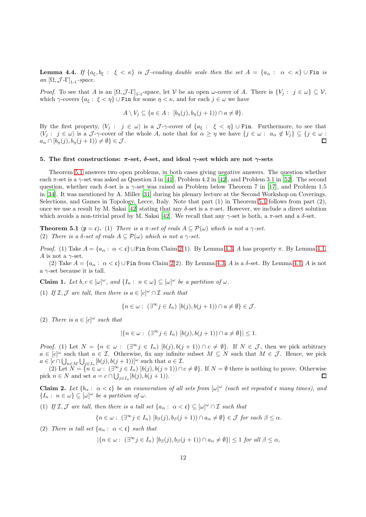<span id="page-11-3"></span>**Lemma 4.4.** If  $\{a_{\xi}, b_{\xi} : \xi < \kappa\}$  is J-evading double scale then the set  $A = \{a_{\alpha} : \alpha < \kappa\}$   $\cup$  Fin is an  $[\Omega, \mathcal{J}$ -Γ $]_{1-1}$ -space.

*Proof.* To see that A is an  $[\Omega, \mathcal{J}\text{-}\Gamma]_{1\text{-1}}$ -space, let V be an open  $\omega$ -cover of A. There is  $\{V_j : j \in \omega\} \subseteq V$ , which  $\gamma$ -covers  $\{a_{\xi}: \xi < \eta\}$  U Fin for some  $\eta < \kappa$ , and for each  $j \in \omega$  we have

$$
A \setminus V_j \subseteq \{a \in A : [b_{\eta}(j), b_{\eta}(j+1)) \cap a \neq \emptyset\}.
$$

By the first property,  $\langle V_j : j \in \omega \rangle$  is a J- $\gamma$ -cover of  $\{a_{\xi} : \xi < \eta\}$   $\cup$  Fin. Furthermore, to see that  $\langle V_j : j \in \omega \rangle$  is a J- $\gamma$ -cover of the whole A, note that for  $\alpha \geq \eta$  we have  $\{j \in \omega : a_\alpha \notin V_j\} \subseteq \{j \in \omega : \xi_j \in \mathbb{R} \}$  $a_{\alpha} \cap [b_{\eta}(j), b_{\eta}(j+1)) \neq \emptyset$   $\in \mathcal{J}$ .  $\Box$ 

#### <span id="page-11-0"></span>5. The first constructions:  $π$ -set,  $δ$ -set, and ideal  $γ$ -set which are not  $γ$ -sets

Theorem 5.1 answers two open problems, in both cases giving negative answers. The question whether each  $\pi$ -set is a  $\gamma$ -set was asked as Question 3 in [\[41\]](#page-26-3), Problem 4.2 in [\[42](#page-26-4)], and Problem 3.1 in [\[52\]](#page-26-6). The second question, whether each  $\delta$ -set is a  $\gamma$ -set was raised as Problem below Theorem 7 in [\[17\]](#page-26-0), and Problem 1.5 in [\[34\]](#page-26-7). It was mentioned by A. Miller [\[31\]](#page-26-8) during his plenary lecture at the Second Workshop on Coverings, Selections, and Games in Topology, Lecce, Italy. Note that part (1) in Theorem 5.1 follows from part (2), once we use a result by M. Sakai [\[42\]](#page-26-4) stating that any δ-set is a π-set. However, we include a direct solution which avoids a non-trivial proof by M. Sakai [\[42\]](#page-26-4). We recall that any  $\gamma$ -set is both, a  $\pi$ -set and a  $\delta$ -set.

**Theorem 5.1** ( $\mathfrak{p} = \mathfrak{c}$ ). (1) There is a  $\pi$ -set of reals  $A \subseteq \mathcal{P}(\omega)$  which is not a  $\gamma$ -set. (2) There is a  $\delta$ -set of reals  $A \subseteq \mathcal{P}(\omega)$  which is not a  $\gamma$ -set.

Proof. (1) Take  $A = \{a_{\alpha} : \alpha < \mathfrak{c}\}\cup \text{Fin}$  from Claim [2\(](#page-11-1)1). By Lemma [4.3,](#page-9-1) A has property  $\pi$ . By Lemma [4.1,](#page-9-3) A is not a  $\gamma$ -set.

(2) Take  $A = \{a_{\alpha} : \alpha < \mathfrak{c}\}\cup\mathfrak{Fin}$  from Claim [2\(](#page-11-1)2). By Lemma [4.3,](#page-9-1) A is a  $\delta$ -set. By Lemma [4.1,](#page-9-3) A is not a  $\gamma$ -set because it is tall.

<span id="page-11-2"></span>**Claim 1.** Let  $b, c \in [\omega]^\omega$ , and  $\{I_n : n \in \omega\} \subseteq [\omega]^\omega$  be a partition of  $\omega$ .

(1) If  $\mathcal{I}, \mathcal{J}$  are tall, then there is  $a \in [c]^{\omega} \cap \mathcal{I}$  such that

$$
\{n \in \omega : \ (\exists^{\infty} j \in I_n) \ [b(j), b(j+1)) \cap a \neq \emptyset\} \in \mathcal{J}.
$$

(2) There is  $a \in [c]^\omega$  such that

$$
|\{n\in\omega:\ (\exists^\infty j\in I_n)\ [b(j),b(j+1))\cap a\neq\emptyset\}|\leq 1.
$$

*Proof.* (1) Let  $N = \{n \in \omega : (\exists^{\infty} j \in I_n) \; [b(j), b(j+1)) \cap c \neq \emptyset\}$ . If  $N \in \mathcal{J}$ , then we pick arbitrary  $a \in [c]^{\omega}$  such that  $a \in \mathcal{I}$ . Otherwise, fix any infinite subset  $M \subseteq N$  such that  $M \in \mathcal{J}$ . Hence, we pick  $a \in [c \cap \bigcup_{n \in M} \bigcup_{j \in I_n} [b(j), b(j+1))]^{\omega}$  such that  $a \in \mathcal{I}$ .

(2) Let  $N = \{n \in \omega : (\exists^{\infty} j \in I_n) [b(j), b(j+1)) \cap c \neq \emptyset\}$ . If  $N = \emptyset$  there is nothing to prove. Otherwise pick  $n \in N$  and set  $a = c \cap \bigcup_{j \in I_n} [b(j), b(j+1))$ .  $\Box$ 

<span id="page-11-1"></span>**Claim 2.** Let  $\{b_{\alpha} : \alpha < \mathfrak{c}\}\)$  be an enumeration of all sets from  $[\omega]^{\omega}$  (each set repeated c many times), and  $\{I_n: n \in \omega\} \subseteq [\omega]^\omega$  be a partition of  $\omega$ .

(1) If  $\mathcal{I}, \mathcal{J}$  are tall, then there is a tall set  $\{a_{\alpha}: \alpha < \mathfrak{c}\} \subseteq [\omega]^{\omega} \cap \mathcal{I}$  such that

$$
\{n \in \omega : (\exists^{\infty} j \in I_n) \; [b_{\beta}(j), b_{\beta}(j+1)) \cap a_{\alpha} \neq \emptyset\} \in \mathcal{J} \; \text{for each} \; \beta \leq \alpha.
$$

(2) There is tall set  $\{a_{\alpha} : \alpha < \mathfrak{c}\}\$  such that

$$
|\{n \in \omega : (\exists^{\infty} j \in I_n) \; [b_{\beta}(j), b_{\beta}(j+1)) \cap a_{\alpha} \neq \emptyset\}| \le 1 \; \text{for all} \; \beta \le \alpha,
$$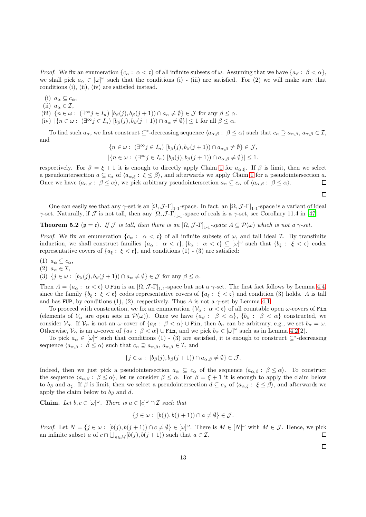*Proof.* We fix an enumeration  $\{c_{\alpha} : \alpha < \mathfrak{c}\}\)$  of all infinite subsets of  $\omega$ . Assuming that we have  $\{a_{\beta} : \beta < \alpha\}$ , we shall pick  $a_{\alpha} \in [\omega]^{\omega}$  such that the conditions (i) - (iii) are satisfied. For (2) we will make sure that conditions (i), (ii), (iv) are satisfied instead.

(i)  $a_{\alpha} \subseteq c_{\alpha}$ ,

(ii)  $a_{\alpha} \in \mathcal{I}$ ,

- (iii)  $\{n \in \omega : (\exists^{\infty} j \in I_n) [b_{\beta}(j), b_{\beta}(j+1)) \cap a_{\alpha} \neq \emptyset\} \in \mathcal{J}$  for any  $\beta \leq \alpha$ .
- (iv)  $|\{n \in \omega : (\exists^{\infty} j \in I_n) \; | b_{\beta}(j), b_{\beta}(j+1)) \cap a_{\alpha} \neq \emptyset\}| \leq 1$  for all  $\beta \leq \alpha$ .

To find such  $a_{\alpha}$ , we first construct  $\subseteq^*$ -decreasing sequence  $\langle a_{\alpha,\beta} : \beta \leq \alpha \rangle$  such that  $c_{\alpha} \supseteq a_{\alpha,\beta}$ ,  $a_{\alpha,\beta} \in \mathcal{I}$ , and

$$
\{n \in \omega : (\exists^{\infty} j \in I_n) \; [b_{\beta}(j), b_{\beta}(j+1)) \cap a_{\alpha,\beta} \neq \emptyset\} \in \mathcal{J},
$$
  

$$
|\{n \in \omega : (\exists^{\infty} j \in I_n) \; [b_{\beta}(j), b_{\beta}(j+1)) \cap a_{\alpha,\beta} \neq \emptyset\}| \leq 1.
$$

respectively. For  $\beta = \xi + 1$  $\beta = \xi + 1$  it is enough to directly apply Claim 1 for  $a_{\alpha,\xi}$ . If  $\beta$  is limit, then we select a pseudointersection  $a \subseteq c_{\alpha}$  of  $\langle a_{\alpha,\xi} : \xi \leq \beta \rangle$ , and afterwards we apply Claim [1](#page-11-2) for a pseudointersection a.  $\Box$ Once we have  $\langle a_{\alpha,\beta} : \beta \leq \alpha \rangle$ , we pick arbitrary pseudointersection  $a_{\alpha} \subseteq c_{\alpha}$  of  $\langle a_{\alpha,\beta} : \beta \leq \alpha \rangle$ .

 $\Box$ 

One can easily see that any  $\gamma$ -set is an  $[\Omega, \mathcal{J}$ -Γ]<sub>1-1</sub>-space. In fact, an  $[\Omega, \mathcal{J}$ -Γ]<sub>1-1</sub>-space is a variant of ideal γ-set. Naturally, if  $\mathcal J$  is not tall, then any  $[\Omega, \mathcal J$ - $\Gamma]_{1-1}$ -space of reals is a γ-set, see Corollary 11.4 in [\[47\]](#page-26-9).

<span id="page-12-0"></span>**Theorem 5.2** ( $\mathfrak{p} = \mathfrak{c}$ ). If J is tall, then there is an  $[\Omega, \mathcal{J} - \Gamma]_{1-1}$ -space  $A \subseteq \mathcal{P}(\omega)$  which is not a  $\gamma$ -set.

*Proof.* We fix an enumeration  $\{c_{\alpha} : \alpha < \mathfrak{c}\}\$  of all infinite subsets of  $\omega$ , and tall ideal  $\mathcal{I}$ . By transfinite induction, we shall construct families  $\{a_{\alpha}: \alpha < \mathfrak{c}\}, \{b_{\alpha}: \alpha < \mathfrak{c}\} \subseteq [\omega]^{\omega}$  such that  $\{b_{\xi}: \xi < \mathfrak{c}\}$  codes representative covers of  $\{a_{\xi}: \xi < \mathfrak{c}\}\)$ , and conditions (1) - (3) are satisfied:

(1)  $a_{\alpha} \subseteq c_{\alpha}$ ,

(2)  $a_{\alpha} \in \mathcal{I}$ ,

(3)  $\{j \in \omega : [b_{\beta}(j), b_{\beta}(j+1)) \cap a_{\alpha} \neq \emptyset\} \in \mathcal{J}$  for any  $\beta \leq \alpha$ .

Then  $A = \{a_{\alpha} : \alpha < \mathfrak{c}\}\cup \text{Fin}$  is an  $[\Omega, \mathcal{J}\text{-}\Gamma]_{1-1}$ -space but not a  $\gamma$ -set. The first fact follows by Lemma [4.4,](#page-11-3) since the family  $\{b_{\xi} : \xi < \mathfrak{c}\}\)$  codes representative covers of  $\{a_{\xi} : \xi < \mathfrak{c}\}\)$  and condition (3) holds. A is tall and has FUP, by conditions (1), (2), respectively. Thus A is not a  $\gamma$ -set by Lemma [4.1.](#page-9-3)

To proceed with construction, we fix an enumeration  $\{V_\alpha : \alpha < \mathfrak{c}\}\)$  of all countable open  $\omega$ -covers of Fin (elements of  $\mathcal{V}_{\alpha}$  are open sets in  $\mathcal{P}(\omega)$ ). Once we have  $\{a_{\beta}: \beta < \alpha\}, \{b_{\beta}: \beta < \alpha\}$  constructed, we consider  $\mathcal{V}_{\alpha}$ . If  $\mathcal{V}_{\alpha}$  is not an  $\omega$ -cover of  $\{a_{\beta}:\ \beta < \alpha\} \cup \text{Fin}$ , then  $b_{\alpha}$  can be arbitrary, e.g., we set  $b_{\alpha} = \omega$ . Otherwise,  $\mathcal{V}_{\alpha}$  is an  $\omega$ -cover of  $\{a_{\beta}: \beta < \alpha\} \cup \text{Fin}$ , and we pick  $b_{\alpha} \in [\omega]^{\omega}$  such as in Lemma [4.2\(](#page-9-2)2).

To pick  $a_{\alpha} \in [\omega]^{\omega}$  such that conditions (1) - (3) are satisfied, it is enough to construct  $\subseteq^*$ -decreasing sequence  $\langle a_{\alpha,\beta} : \beta \leq \alpha \rangle$  such that  $c_{\alpha} \supseteq a_{\alpha,\beta}, a_{\alpha,\beta} \in \mathcal{I}$ , and

$$
\{j \in \omega : [b_{\beta}(j), b_{\beta}(j+1)) \cap a_{\alpha, \beta} \neq \emptyset\} \in \mathcal{J}.
$$

Indeed, then we just pick a pseudointersection  $a_{\alpha} \subseteq c_{\alpha}$  of the sequence  $\langle a_{\alpha,\beta} : \beta \leq \alpha \rangle$ . To construct the sequence  $\langle a_{\alpha,\beta} : \beta \leq \alpha \rangle$ , let us consider  $\beta \leq \alpha$ . For  $\beta = \xi + 1$  it is enough to apply the claim below to  $b_{\beta}$  and  $a_{\xi}$ . If  $\beta$  is limit, then we select a pseudointersection  $d \subseteq c_{\alpha}$  of  $\langle a_{\alpha,\xi} : \xi \leq \beta \rangle$ , and afterwards we apply the claim below to  $b_{\beta}$  and d.

**Claim.** Let  $b, c \in [\omega]^\omega$ . There is  $a \in [c]^\omega \cap \mathcal{I}$  such that

$$
\{j \in \omega : [b(j), b(j+1)) \cap a \neq \emptyset\} \in \mathcal{J}.
$$

*Proof.* Let  $N = \{j \in \omega : [b(j), b(j+1)) \cap c \neq \emptyset\} \in [\omega]^\omega$ . There is  $M \in [N]^\omega$  with  $M \in \mathcal{J}$ . Hence, we pick an infinite subset a of  $c \cap \bigcup_{n \in M} [b(j), b(j+1))$  such that  $a \in \mathcal{I}$ .  $\Box$ 

 $\Box$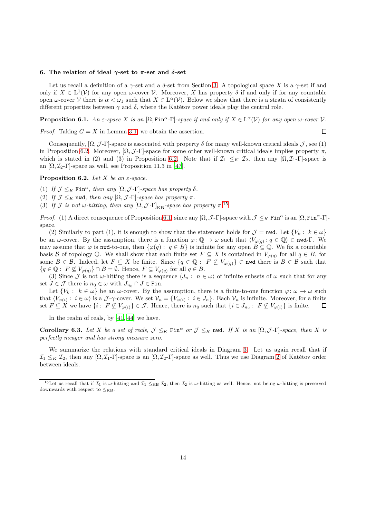### <span id="page-13-1"></span>6. The relation of ideal  $\gamma$ -set to π-set and δ-set

Let us recall a definition of a  $\gamma$ -set and a  $\delta$ -set from Section [3.](#page-6-0) A topological space X is a  $\gamma$ -set if and only if  $X \in L^1(\mathcal{V})$  for any open  $\omega$ -cover  $\mathcal{V}$ . Moreover, X has property  $\delta$  if and only if for any countable open  $\omega$ -cover V there is  $\alpha < \omega_1$  such that  $X \in L^{\alpha}(\mathcal{V})$ . Below we show that there is a strata of consistently different properties between  $\gamma$  and  $\delta$ , where the Katětov power ideals play the central role.

<span id="page-13-0"></span>**Proposition 6.1.** An  $\varepsilon$ -space X is an  $[\Omega, \text{Fin}^\alpha]$ -space if and only if  $X \in \text{L}^\alpha(\mathcal{V})$  for any open  $\omega$ -cover  $\mathcal{V}$ .

 $\Box$ 

*Proof.* Taking  $G = X$  in Lemma [3.1,](#page-7-0) we obtain the assertion.

Consequently,  $[\Omega, \mathcal{J}\text{-}\Gamma]$ -space is associated with property  $\delta$  for many well-known critical ideals  $\mathcal{J}$ , see (1) in Proposition [6.2.](#page-13-2) Moreover,  $[\Omega, \mathcal{J}\text{-}\Gamma]$ -space for some other well-known critical ideals implies property  $\pi$ , which is stated in (2) and (3) in Proposition [6.2.](#page-13-2) Note that if  $\mathcal{I}_1 \leq_K \mathcal{I}_2$ , then any  $[\Omega, \mathcal{I}_1-\Gamma]$ -space is an  $[\Omega, \mathcal{I}_2-\Gamma]$ -space as well, see Proposition 11.3 in [\[47](#page-26-9)].

<span id="page-13-2"></span>**Proposition 6.2.** Let X be an  $\varepsilon$ -space.

(1) If  $\mathcal{J} \leq_K \text{Fin}^{\alpha}$ , then any  $[\Omega, \mathcal{J} - \Gamma]$ -space has property  $\delta$ .

(2) If  $\mathcal{J} \leq_K \text{ nwd},$  then any  $[\Omega, \mathcal{J} - \Gamma]$ -space has property  $\pi$ .

(3) If  $\mathcal J$  is not  $\omega$ -hitting, then any  $[\Omega, \mathcal J$ - $\Gamma]_{\text{KB}}$ -space has property  $\pi$ .<sup>[15](#page-13-3)</sup>

*Proof.* (1) A direct consequence of Proposition [6.1,](#page-13-0) since any  $[\Omega, \mathcal{J}\text{-}\Gamma]$ -space with  $\mathcal{J} \leq_K \text{Fin}^\alpha$  is an  $[\Omega, \text{Fin}^\alpha\text{-}\Gamma]$ space.

(2) Similarly to part (1), it is enough to show that the statement holds for  $\mathcal{J} = \text{nwd}$ . Let  $\{V_k : k \in \omega\}$ be an  $\omega$ -cover. By the assumption, there is a function  $\varphi \colon \mathbb{Q} \to \omega$  such that  $\langle V_{\varphi(q)} : q \in \mathbb{Q} \rangle \in \mathbf{nud}\text{-}\Gamma$ . We may assume that  $\varphi$  is nwd-to-one, then  $\{\varphi(q): q \in B\}$  is infinite for any open  $B \subseteq \mathbb{Q}$ . We fix a countable basis B of topology Q. We shall show that each finite set  $F \subseteq X$  is contained in  $V_{\varphi(q)}$  for all  $q \in B$ , for some  $B \in \mathcal{B}$ . Indeed, let  $F \subseteq X$  be finite. Since  $\{q \in \mathbb{Q} : F \not\subseteq V_{\varphi(q)}\} \in \mathbf{nwd}$  there is  $B \in \mathcal{B}$  such that  ${q \in \mathbb{Q}: F \not\subseteq V_{\varphi(q)}\} \cap B = \emptyset$ . Hence,  $F \subseteq V_{\varphi(q)}$  for all  $q \in B$ .

(3) Since J is not  $\omega$ -hitting there is a sequence  $\langle J_n : n \in \omega \rangle$  of infinite subsets of  $\omega$  such that for any set  $J \in \mathcal{J}$  there is  $n_0 \in \omega$  with  $J_{n_0} \cap J \in \text{Fin}$ .

Let  $\{V_k : k \in \omega\}$  be an  $\omega$ -cover. By the assumption, there is a finite-to-one function  $\varphi : \omega \to \omega$  such that  $\langle V_{\varphi(i)}: i \in \omega \rangle$  is a  $\mathcal{J}\text{-}\gamma\text{-cover}$ . We set  $\mathcal{V}_n = \{V_{\varphi(i)}: i \in J_n\}$ . Each  $\mathcal{V}_n$  is infinite. Moreover, for a finite set  $F \subseteq X$  we have  $\{i : F \not\subseteq V_{\varphi(i)}\} \in \mathcal{J}$ . Hence, there is  $n_0$  such that  $\{i \in J_{n_0} : F \not\subseteq V_{\varphi(i)}\}$  is finite.  $\Box$ 

In the realm of reals, by [\[41,](#page-26-3) [44\]](#page-26-5) we have.

Corollary 6.3. Let X be a set of reals,  $\mathcal{J} \leq_K \text{Fin}^\alpha$  or  $\mathcal{J} \leq_K \text{nu}$ . If X is an  $[\Omega, \mathcal{J}$ -Γ]-space, then X is perfectly meager and has strong measure zero.

We summarize the relations with standard critical ideals in Diagram [3.](#page-14-1) Let us again recall that if  $\mathcal{I}_1 \leq_K \mathcal{I}_2$ , then any  $[\Omega, \mathcal{I}_1-\Gamma]$ -space is an  $[\Omega, \mathcal{I}_2-\Gamma]$ -space as well. Thus we use Diagram [2](#page-3-2) of Katětov order between ideals.

<span id="page-13-3"></span><sup>&</sup>lt;sup>15</sup>Let us recall that if  $\mathcal{I}_1$  is  $\omega$ -hitting and  $\mathcal{I}_1 \le_{\text{KB}} \mathcal{I}_2$ , then  $\mathcal{I}_2$  is  $\omega$ -hitting as well. Hence, not being  $\omega$ -hitting is preserved downwards with respect to  $\leq_{KB}$ .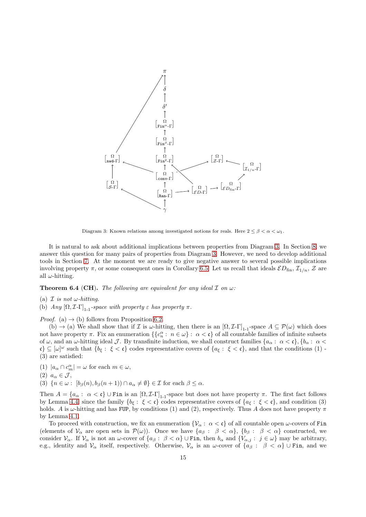

<span id="page-14-1"></span>Diagram 3: Known relations among investigated notions for reals. Here  $2 \leq \beta < \alpha < \omega_1$ .

It is natural to ask about additional implications between properties from Diagram [3.](#page-14-1) In Section [8,](#page-18-0) we answer this question for many pairs of properties from Diagram [3.](#page-14-1) However, we need to develop additional tools in Section [7.](#page-15-0) At the moment we are ready to give negative answer to several possible implications involving property  $\pi$ , or some consequent ones in Corollary [6.5.](#page-15-1) Let us recall that ideals  $\mathcal{ED}_{fin}$ ,  $\mathcal{I}_{1/n}$ ,  $\mathcal{Z}$  are all  $\omega$ -hitting.

<span id="page-14-0"></span>**Theorem 6.4 (CH).** The following are equivalent for any ideal  $\mathcal I$  on  $\omega$ :

- (a)  $\mathcal I$  is not w-hitting.
- (b) Any  $[\Omega, \mathcal{I} \Gamma]_{1-1}$ -space with property  $\varepsilon$  has property  $\pi$ .

*Proof.* (a)  $\rightarrow$  (b) follows from Proposition [6.2.](#page-13-2)

(b)  $\rightarrow$  (a) We shall show that if I is  $\omega$ -hitting, then there is an  $[\Omega, \mathcal{I}\text{-}\Gamma]_{1\text{-}1}$ -space  $A \subseteq \mathcal{P}(\omega)$  which does not have property  $\pi$ . Fix an enumeration  $\{\{c_n^{\alpha}: n \in \omega\} : \alpha < \mathfrak{c}\}\$  of all countable families of infinite subsets of  $\omega$ , and an  $\omega$ -hitting ideal J. By transfinite induction, we shall construct families  $\{a_{\alpha} : \alpha < \mathfrak{c}\}\, \{b_{\alpha} : \alpha < \mathfrak{c}\}\,$  $\mathfrak{c} \} \subseteq [\omega]^\omega$  such that  $\{b_{\xi} : \xi < \mathfrak{c}\}\)$  codes representative covers of  $\{a_{\xi} : \xi < \mathfrak{c}\}\)$ , and that the conditions  $(1)$ . (3) are satisfied:

- (1)  $|a_{\alpha} \cap c_m^{\alpha}| = \omega$  for each  $m \in \omega$ ,
- (2)  $a_{\alpha} \in \mathcal{J}$ ,
- (3)  $\{n \in \omega : [b_{\beta}(n), b_{\beta}(n+1)) \cap a_{\alpha} \neq \emptyset\} \in \mathcal{I}$  for each  $\beta \leq \alpha$ .

Then  $A = \{a_{\alpha} : \alpha < \mathfrak{c}\}\cup\text{Fin}$  is an  $[\Omega, \mathcal{I}\text{-}\Gamma]_{1-1}$ -space but does not have property  $\pi$ . The first fact follows by Lemma [4.4,](#page-11-3) since the family  $\{b_{\xi} : \xi < \mathfrak{c}\}\)$  codes representative covers of  $\{a_{\xi} : \xi < \mathfrak{c}\}\)$ , and condition (3) holds. A is  $\omega$ -hitting and has FUP, by conditions (1) and (2), respectively. Thus A does not have property  $\pi$ by Lemma [4.1.](#page-9-3)

To proceed with construction, we fix an enumeration  $\{V_\alpha : \alpha < \mathfrak{c}\}\)$  of all countable open  $\omega$ -covers of Fin (elements of  $\mathcal{V}_{\alpha}$  are open sets in  $\mathcal{P}(\omega)$ ). Once we have  $\{a_{\beta}: \beta < \alpha\}, \{b_{\beta}: \beta < \alpha\}$  constructed, we consider  $V_{\alpha}$ . If  $V_{\alpha}$  is not an  $\omega$ -cover of  $\{a_{\beta}: \beta < \alpha\}$  U Fin, then  $b_{\alpha}$  and  $\{V_{\alpha,j}: j \in \omega\}$  may be arbitrary, e.g., identity and  $\mathcal{V}_{\alpha}$  itself, respectively. Otherwise,  $\mathcal{V}_{\alpha}$  is an  $\omega$ -cover of  $\{a_{\beta} : \beta < \alpha\} \cup \text{Fin}$ , and we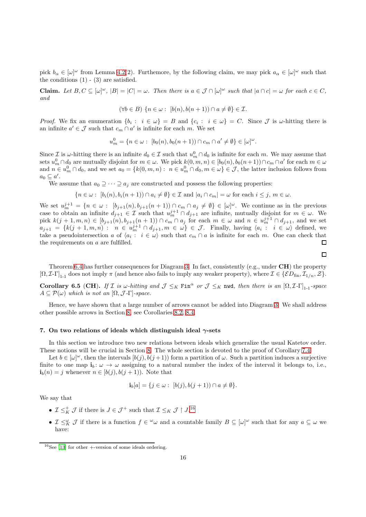pick  $b_{\alpha} \in [\omega]^{\omega}$  from Lemma [4.2\(](#page-9-2)2). Furthemore, by the following claim, we may pick  $a_{\alpha} \in [\omega]^{\omega}$  such that the conditions  $(1)$  -  $(3)$  are satisfied.

**Claim.** Let  $B, C \subseteq [\omega]^\omega$ ,  $|B| = |C| = \omega$ . Then there is  $a \in \mathcal{J} \cap [\omega]^\omega$  such that  $|a \cap c| = \omega$  for each  $c \in C$ , and

$$
(\forall b \in B) \ \{n \in \omega : \ [b(n), b(n+1)) \cap a \neq \emptyset\} \in \mathcal{I}.
$$

*Proof.* We fix an enumeration  $\{b_i : i \in \omega\} = B$  and  $\{c_i : i \in \omega\} = C$ . Since  $\mathcal J$  is  $\omega$ -hitting there is an infinite  $a' \in \mathcal{J}$  such that  $c_m \cap a'$  is infinite for each m. We set

$$
u_m^0 = \{ n \in \omega : \ [b_0(n), b_0(n+1)) \cap c_m \cap a' \neq \emptyset \} \in [\omega]^\omega.
$$

Since  $\mathcal I$  is  $\omega$ -hitting there is an infinite  $d_0 \in \mathcal I$  such that  $u_m^0 \cap d_0$  is infinite for each m. We may assume that sets  $u_m^0 \cap d_0$  are mutually disjoint for  $m \in \omega$ . We pick  $k(0, m, n) \in [b_0(n), b_0(n+1)) \cap c_m \cap a'$  for each  $m \in \omega$ and  $n \in u_m^0 \cap d_0$ , and we set  $a_0 = \{k(0, m, n): n \in u_m^0 \cap d_0, m \in \omega\} \in \mathcal{J}$ , the latter inclusion follows from  $a_0 \subseteq a'$ .

We assume that  $a_0 \supseteq \cdots \supseteq a_j$  are constructed and possess the following properties:

$$
\{n \in \omega : [b_i(n), b_i(n+1)) \cap a_i \neq \emptyset\} \in \mathcal{I} \text{ and } |a_i \cap c_m| = \omega \text{ for each } i \leq j, m \in \omega.
$$

We set  $u_m^{j+1} = \{n \in \omega : [b_{j+1}(n), b_{j+1}(n+1)) \cap c_m \cap a_j \neq \emptyset\} \in [\omega]^\omega$ . We continue as in the previous case to obtain an infinite  $d_{j+1} \in \mathcal{I}$  such that  $u_m^{j+1} \cap d_{j+1}$  are infinite, mutually disjoint for  $m \in \omega$ . We pick  $k(j+1,m,n) \in [b_{j+1}(n), b_{j+1}(n+1)) \cap c_m \cap a_j$  for each  $m \in \omega$  and  $n \in u_m^{j+1} \cap d_{j+1}$ , and we set  $a_{j+1} = \{k(j+1,m,n) : n \in u_m^{j+1} \cap d_{j+1}, m \in \omega\} \in \mathcal{J}$ . Finally, having  $\langle a_i : i \in \omega \rangle$  defined, we take a pseudointersection a of  $\langle a_i : i \in \omega \rangle$  such that  $c_m \cap a$  is infinite for each m. One can check that the requirements on a are fulfilled.  $\Box$ 

 $\Box$ 

Theorem [6.4](#page-14-0) has further consequences for Diagram [3.](#page-14-1) In fact, consistently (e.g., under  $CH$ ) the property  $[\Omega, \mathcal{I}-\Gamma]_{1-1}$  does not imply  $\pi$  (and hence also fails to imply any weaker property), where  $\mathcal{I} \in \{\mathcal{E}D_{fin}, \mathcal{I}_{1/n}, \mathcal{Z}\}.$ 

<span id="page-15-1"></span>Corollary 6.5 (CH). If I is w-hitting and  $\mathcal{J} \leq_K \text{Fin}^\alpha$  or  $\mathcal{J} \leq_K \text{nwd}$ , then there is an  $[\Omega, \mathcal{I} - \Gamma]_{1-1}$ -space  $A \subseteq \mathcal{P}(\omega)$  which is not an  $[\Omega, \mathcal{J} - \Gamma]$ -space.

Hence, we have shown that a large number of arrows cannot be added into Diagram [3.](#page-14-1) We shall address other possible arrows in Section [8,](#page-18-0) see Corollaries [8.2,](#page-19-0) [8.4.](#page-19-1)

#### <span id="page-15-0"></span>7. On two relations of ideals which distinguish ideal  $\gamma$ -sets

In this section we introduce two new relations between ideals which generalize the usual Katetov order. These notions will be crucial in Section [8.](#page-18-0) The whole section is devoted to the proof of Corollary 7.4.

Let  $b \in [\omega]^\omega$ , then the intervals  $[b(j), b(j+1))$  form a partition of  $\omega$ . Such a partition induces a surjective finite to one map  $\mathbf{i}_b: \omega \to \omega$  assigning to a natural number the index of the interval it belongs to, i.e.,  $\mathbf{i}_b(n) = j$  whenever  $n \in [b(j), b(j+1))$ . Note that

$$
\mathbf{i}_b[a] = \{ j \in \omega : [b(j), b(j+1)) \cap a \neq \emptyset \}.
$$

We say that

- $\mathcal{I} \leq_K^+ \mathcal{J}$  if there is  $J \in \mathcal{J}^+$  such that  $\mathcal{I} \leq_K \mathcal{J} \restriction J^{16}$  $\mathcal{I} \leq_K \mathcal{J} \restriction J^{16}$  $\mathcal{I} \leq_K \mathcal{J} \restriction J^{16}$
- $\mathcal{I} \leq_K^{\omega} \mathcal{J}$  if there is a function  $f \in {}^{\omega} \omega$  and a countable family  $B \subseteq [\omega]^{\omega}$  such that for any  $a \subseteq \omega$  we have:

<span id="page-15-2"></span> $16$ See [\[13\]](#page-26-36) for other +-version of some ideals ordering.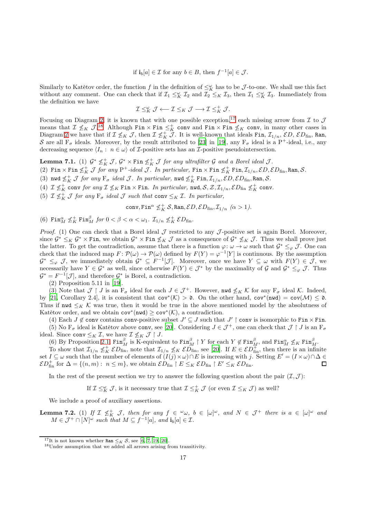if  $\mathbf{i}_b[a] \in \mathcal{I}$  for any  $b \in B$ , then  $f^{-1}[a] \in \mathcal{J}$ .

Similarly to Katětov order, the function f in the definition of  $\leq_K^{\omega}$  has to be J-to-one. We shall use this fact without any comment. One can check that if  $\mathcal{I}_1 \leq_K \mathcal{I}_2$  and  $\mathcal{I}_2 \leq_K \mathcal{I}_3$ , then  $\mathcal{I}_1 \leq_K \mathcal{I}_3$ . Immediately from the definition we have

$$
\mathcal{I} \leq_K^{\omega} \mathcal{J} \longleftarrow \mathcal{I} \leq_K \mathcal{J} \longrightarrow \mathcal{I} \leq_K^+ \mathcal{J}.
$$

Focusing on Diagram [2,](#page-3-2) it is known that with one possible exception,<sup>[17](#page-16-0)</sup> each missing arrow from  $\mathcal I$  to  $\mathcal J$ means that  $\mathcal{I} \nleq_K \mathcal{J}.^{18}$  $\mathcal{I} \nleq_K \mathcal{J}.^{18}$  $\mathcal{I} \nleq_K \mathcal{J}.^{18}$  Although  $\text{Fin} \times \text{Fin} \leq_K^+ \text{conv}$  and  $\text{Fin} \times \text{Fin} \nleq_K \text{conv}$ , in many other cases in Diagram [2](#page-3-2) we have that if  $\mathcal{I} \nleq_K \mathcal{J}$ , then  $\mathcal{I} \nleq_K \tilde{\mathcal{J}}$ . It is well-known that ideals Fin,  $\mathcal{I}_{1/n}$ ,  $\mathcal{E}D$ ,  $\mathcal{E}D_{fin}$ , Ran, S are all  $F_{\sigma}$  ideals. Moreover, by the result attributed to [\[23](#page-26-37)] in [\[19](#page-26-15)], any  $F_{\sigma}$  ideal is a P<sup>+</sup>-ideal, i.e., any decreasing sequence  $\langle I_n : n \in \omega \rangle$  of *I*-positive sets has an *I*-positive pseudointersection.

**Lemma 7.1.** (1)  $\mathcal{G}^* \nleq^+_{K} \mathcal{J}$ ,  $\mathcal{G}^* \times \text{Fin} \nleq^+_{K} \mathcal{J}$  for any ultrafilter  $\mathcal{G}$  and a Borel ideal  $\mathcal{J}$ . (2)  $\text{Fin}\times \text{Fin}\not\leq_K^+ \mathcal J$  for any  $\text{P}^+{\text{\text -}ideal}}$   $\mathcal J.$  In particular,  $\text{Fin}\times \text{Fin}\not\leq_K^+ \text{Fin},\mathcal I_{1/n},\mathcal ED,\mathcal ED_{\text{fin}},\text{Ran},\mathcal S.$ (3) nwd  $\not\leq^+_{K}$  *J for any*  $F_{\sigma}$  *ideal J. In particular,* nwd  $\not\leq^+_{K}$  Fin,  $\mathcal{I}_{1/n}$ ,  $\mathcal{E}D, \mathcal{E}D_{\text{fin}},$  Ran,  $\mathcal{S}$ . (4)  $\mathcal{I} \nleq_K^+$  conv for any  $\mathcal{I} \nleq_K$  Fin  $\times$  Fin. In particular, nwd,  $\mathcal{S}, \mathcal{Z}, \mathcal{I}_{1/n}, \mathcal{E}D_{\text{fin}} \nleq_K^+$  conv.

(5)  $\mathcal{I} \nleq_K^+ \mathcal{J}$  for any  $F_{\sigma}$  ideal  $\mathcal{J}$  such that conv  $\leq_K \mathcal{I}$ . In particular,

conv, Fin<sup> $\alpha$ </sup>  $\nleq_K^+$  S, Ran,  $\mathcal{E}D, \mathcal{E}D_{\text{fin}}, \mathcal{I}_{1/n}$   $(\alpha > 1)$ .

(6)  $\text{Fin}_{M}^{\alpha} \nleq_K^+ \text{Fin}_{M}^{\beta}$  for  $0 < \beta < \alpha < \omega_1$ .  $\mathcal{I}_{1/n} \nleq_K^+ \mathcal{E} D_{\text{fin}}$ .

*Proof.* (1) One can check that a Borel ideal  $\mathcal J$  restricted to any  $\mathcal J$ -positive set is again Borel. Moreover, since  $\mathcal{G}^* \leq_K \mathcal{G}^* \times \text{Fin}$ , we obtain  $\mathcal{G}^* \times \text{Fin} \not\leq_K \mathcal{J}$  as a consequence of  $\mathcal{G}^* \not\leq_K \mathcal{J}$ . Thus we shall prove just the latter. To get the contradiction, assume that there is a function  $\varphi: \omega \to \omega$  such that  $\mathcal{G}^* \leq_{\varphi} \mathcal{J}$ . One can check that the induced map  $F: \mathcal{P}(\omega) \to \mathcal{P}(\omega)$  defined by  $F(Y) = \varphi^{-1}[Y]$  is continuous. By the assumption  $\mathcal{G}^* \leq_{\varphi} \mathcal{J}$ , we immediately obtain  $\mathcal{G}^* \subseteq F^{-1}[\mathcal{J}]$ . Moreover, once we have  $Y \subseteq \omega$  with  $F(Y) \in \mathcal{J}$ , we necessarily have  $Y \in \mathcal{G}^*$  as well, since otherwise  $F(Y) \in \mathcal{J}^*$  by the maximality of  $\mathcal{G}$  and  $\mathcal{G}^* \leq_{\varphi} \mathcal{J}$ . Thus  $\mathcal{G}^* = F^{-1}[\mathcal{J}]$ , and therefore  $\mathcal{G}^*$  is Borel, a contradiction.

(2) Proposition 5.11 in [\[19\]](#page-26-15).

(3) Note that  $\mathcal{J} \restriction J$  is an  $F_{\sigma}$  ideal for each  $J \in \mathcal{J}^+$ . However, nwd  $\nleq_K \mathcal{K}$  for any  $F_{\sigma}$  ideal  $\mathcal{K}$ . Indeed, by [\[21,](#page-26-38) Corollary 2.4], it is consistent that  $cov^*(\mathcal{K}) > \mathfrak{d}$ . On the other hand,  $cov^*(nwd) = cov(\mathcal{M}) \leq \mathfrak{d}$ . Thus if  $\mathbf{nwd} \leq_K \mathcal{K}$  was true, then it would be true in the above mentioned model by the absolutness of Katětov order, and we obtain  $cov^*(nwd) \ge cov^*(\mathcal{K})$ , a contradiction.

(4) Each  $J \notin \text{conv}$  contains conv-positive subset  $J' \subseteq J$  such that  $J' \upharpoonright \text{conv}$  is isomorphic to Fin  $\times$  Fin. (5) No  $F_{\sigma}$  ideal is Katětov above conv, see [\[20\]](#page-26-16). Considering  $J \in \mathcal{J}^+$ , one can check that  $\mathcal{J} \restriction J$  is an  $F_{\sigma}$ ideal. Since conv  $\leq_K \mathcal{I}$ , we have  $\mathcal{I} \nleq_K \mathcal{J} \restriction J$ .

(6) By Proposition [2.1,](#page-4-1)  $\text{Fin}_{M}^{\beta}$  is K-equivalent to  $\text{Fin}_{M}^{\beta} \restriction Y$  for each  $Y \notin \text{Fin}_{M}^{\beta}$ , and  $\text{Fin}_{M}^{\alpha} \nleq_K \text{Fin}_{M}^{\beta}$ .

To show that  $\mathcal{I}_{1/n} \nleq_K^+ \mathcal{E} D_{\text{fin}}^+$ , note that  $\mathcal{I}_{1/n} \nleq_K \mathcal{E} D_{\text{fin}}^+$ , see [\[20\]](#page-26-16). If  $E \in \mathcal{E} D_{\text{fin}}^+$ , then there is an infinite set  $I \subseteq \omega$  such that the number of elements of  $(I(j) \times \omega) \cap E$  is increasing with j. Setting  $E' = (I \times \omega) \cap \Delta \in$  $\mathcal{E}D_{\text{fin}}^+$  for  $\Delta = \{(n,m): n \leq m\}$ , we obtain  $\mathcal{E}D_{\text{fin}} \upharpoonright E \leq_K \mathcal{E}D_{\text{fin}} \upharpoonright E' \leq_K \mathcal{E}D_{\text{fin}}$ . П

In the rest of the present section we try to answer the following question about the pair  $(\mathcal{I}, \mathcal{J})$ :

If  $\mathcal{I} \leq_K^{\omega} \mathcal{J}$ , is it necessary true that  $\mathcal{I} \leq_K^+ \mathcal{J}$  (or even  $\mathcal{I} \leq_K \mathcal{J}$ ) as well?

We include a proof of auxiliary assertions.

**Lemma 7.2.** (1) If  $\mathcal{I} \nleq_K^+ \mathcal{J}$ , then for any  $f \in \omega$ ,  $b \in [\omega]^\omega$ , and  $N \in \mathcal{J}^+$  there is  $a \in [\omega]^\omega$  and  $M \in \mathcal{J}^+ \cap [N]^\omega$  such that  $M \subseteq f^{-1}[a]$ , and  $\mathbf{i}_b[a] \in \mathcal{I}$ .

<sup>&</sup>lt;sup>17</sup>It is not known whether Ran  $\leq_K S$ , see [\[6](#page-26-13), [7](#page-26-14), [19](#page-26-15), [20\]](#page-26-16).

<span id="page-16-1"></span><span id="page-16-0"></span><sup>18</sup>Under assumption that we added all arrows arising from transitivity.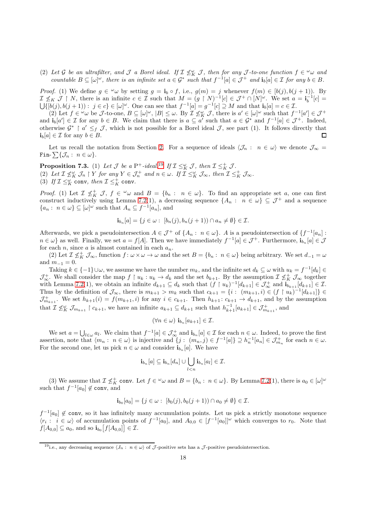(2) Let G be an ultrafilter, and J a Borel ideal. If  $\mathcal{I} \not\leq_K^{\omega} \mathcal{J}$ , then for any J-to-one function  $f \in \omega_\omega$  and countable  $B \subseteq [\omega]^\omega$ , there is an infinite set  $a \in \mathcal{G}^*$  such that  $f^{-1}[a] \in \mathcal{J}^+$  and  $\mathbf{i}_b[a] \in \mathcal{I}$  for any  $b \in B$ .

*Proof.* (1) We define  $g \in \omega$  by setting  $g = \mathbf{i}_b \circ f$ , i.e.,  $g(m) = j$  whenever  $f(m) \in [b(j), b(j+1))$ . By  $\mathcal{I} \nleq_K \mathcal{J} \upharpoonright N$ , there is an infinite  $c \in \mathcal{I}$  such that  $M = (g \upharpoonright N)^{-1}[c] \in \mathcal{J}^+ \cap [N]^{\omega}$ . We set  $a = \mathbf{i}_b^{-1}[c] =$  $\bigcup \{ [b(j), b(j+1)) : j \in c \} \in [\omega]^\omega$ . One can see that  $f^{-1}[a] = g^{-1}[c] \supseteq M$  and that  $\mathbf{i}_b[a] = c \in \mathcal{I}$ .

(2) Let  $f \in \omega$  be J-to-one,  $B \subseteq [\omega]^{\omega}$ ,  $|B| \leq \omega$ . By  $\mathcal{I} \not\leq_K^{\omega} \mathcal{J}$ , there is  $a' \in [\omega]^{\omega}$  such that  $f^{-1}[a'] \in \mathcal{J}^+$ and  $\mathbf{i}_b[a'] \in \mathcal{I}$  for any  $b \in B$ . We claim that there is  $a \subseteq a'$  such that  $a \in \mathcal{G}^*$  and  $f^{-1}[a] \in \mathcal{J}^+$ . Indeed, otherwise  $\mathcal{G}^* \restriction a' \leq_f \mathcal{J}$ , which is not possible for a Borel ideal  $\mathcal{J}$ , see part (1). It follows directly that  $\mathbf{i}_b[a] \in \mathcal{I}$  for any  $b \in B$ .  $\Box$ 

Let us recall the notation from Section [2.](#page-3-0) For a sequence of ideals  $\langle \mathcal{J}_n : n \in \omega \rangle$  we denote  $\mathcal{J}_\infty$  = Fin-  $\sum\{\mathcal{J}_n: n\in\omega\}.$ 

**Proposition 7.3.** (1) Let  $\mathcal{J}$  be a P<sup>+</sup>-ideal.<sup>[19](#page-17-0)</sup> If  $\mathcal{I} \leq_K^{\omega} \mathcal{J}$ , then  $\mathcal{I} \leq_K^+ \mathcal{J}$ . (2) Let  $\mathcal{I} \nleq_K^{\omega} \mathcal{J}_n \restriction Y$  for any  $Y \in \mathcal{J}_n^+$  and  $n \in \omega$ . If  $\mathcal{I} \leq_K^{\omega} \mathcal{J}_{\infty}$ , then  $\mathcal{I} \leq_K^+ \mathcal{J}_{\infty}$ . (3) If  $\mathcal{I} \leq_K^{\omega}$  conv, then  $\mathcal{I} \leq_K^+$  conv.

Proof. (1) Let  $\mathcal{I} \nleq_K^+ \mathcal{J}$ ,  $f \in \omega \omega$  and  $B = \{b_n : n \in \omega\}$ . To find an appropriate set a, one can first construct inductively using Lemma 7.2(1), a decreasing sequence  $\{A_n : n \in \omega\} \subseteq \mathcal{J}^+$  and a sequence  $\{a_n: n \in \omega\} \subseteq [\omega]^\omega$  such that  $A_n \subseteq f^{-1}[a_n]$ , and

$$
\mathbf{i}_{b_n}[a] = \{ j \in \omega : [b_n(j), b_n(j+1)) \cap a_n \neq \emptyset \} \in \mathcal{I}.
$$

Afterwards, we pick a pseudointersection  $A \in \mathcal{J}^+$  of  $\{A_n : n \in \omega\}$ . A is a pseudointersection of  $\{f^{-1}[a_n] : n \in \mathcal{J}\}$  $n \in \omega$  as well. Finally, we set  $a = f[A]$ . Then we have immediately  $f^{-1}[a] \in \mathcal{J}^+$ . Furthermore,  $\mathbf{i}_{b_n}[a] \in \mathcal{J}$ for each n, since a is almost contained in each  $a_n$ .

(2) Let  $\mathcal{I} \nleq_K^+ \mathcal{J}_{\infty}$ , function  $f: \omega \times \omega \to \omega$  and the set  $B = \{b_n: n \in \omega\}$  being arbitrary. We set  $d_{-1} = \omega$ and  $m_{-1} = 0$ .

Taking  $k \in \{-1\} \cup \omega$ , we assume we have the number  $m_k$ , and the infinite set  $d_k \subseteq \omega$  with  $u_k = f^{-1}[d_k] \in$  $\mathcal{J}_{\infty}^+$ . We shall consider the map  $f \restriction u_k : u_k \to d_k$  and the set  $b_{k+1}$ . By the assumption  $\mathcal{I} \nleq_K^+ \mathcal{J}_{\infty}$  together with Lemma 7.2(1), we obtain an infinite  $d_{k+1} \subseteq d_k$  such that  $(f \restriction u_k)^{-1}[d_{k+1}] \in \mathcal{J}_{\infty}^+$  and  $\mathbf{i}_{b_{k+1}}[d_{k+1}] \in \mathcal{I}$ . Thus by the definition of  $\mathcal{J}_{\infty}$ , there is  $m_{k+1} > m_k$  such that  $c_{k+1} = \{i : (m_{k+1}, i) \in (f \restriction u_k)^{-1}[d_{k+1}]\} \in$  $\mathcal{J}_{m_{k+1}}^+$ . We set  $h_{k+1}(i) = f(m_{k+1}, i)$  for any  $i \in c_{k+1}$ . Then  $h_{k+1}: c_{k+1} \to d_{k+1}$ , and by the assumption that  $\mathcal{I} \not\leq_K^{\omega} \mathcal{J}_{m_{k+1}} \restriction c_{k+1}$ , we have an infinite  $a_{k+1} \subseteq d_{k+1}$  such that  $h_{k+1}^{-1}[a_{k+1}] \in \mathcal{J}_{m_{k+1}}^+$ , and

$$
(\forall n \in \omega) \mathbf{i}_{b_n}[a_{k+1}] \in \mathcal{I}.
$$

We set  $a = \bigcup_{l \in \omega} a_l$ . We claim that  $f^{-1}[a] \in \mathcal{J}_{\infty}^+$  and  $\mathbf{i}_{b_n}[a] \in \mathcal{I}$  for each  $n \in \omega$ . Indeed, to prove the first assertion, note that  $\langle m_n : n \in \omega \rangle$  is injective and  $\{j : (m_n, j) \in f^{-1}[a]\} \supseteq h_n^{-1}[a_n] \in \mathcal{J}_{m_n}^+$  for each  $n \in \omega$ . For the second one, let us pick  $n \in \omega$  and consider  $\mathbf{i}_{b_n}[a]$ . We have

$$
\mathbf{i}_{b_n}[a] \subseteq \mathbf{i}_{b_n}[d_n] \cup \bigcup_{l < n} \mathbf{i}_{b_n}[a_l] \in \mathcal{I}.
$$

(3) We assume that  $\mathcal{I} \nleq_K^+$  conv. Let  $f \in \omega \omega$  and  $B = \{b_n : n \in \omega\}$ . By Lemma 7.2(1), there is  $a_0 \in [\omega]^\omega$ such that  $f^{-1}[a_0] \notin \text{conv}, \text{ and}$ 

$$
\mathbf{i}_{b_0}[a_0] = \{ j \in \omega : [b_0(j), b_0(j+1)) \cap a_0 \neq \emptyset \} \in \mathcal{I}.
$$

 $f^{-1}[a_0] \notin \text{conv}$ , so it has infinitely many accumulation points. Let us pick a strictly monotone sequence  $\langle r_i : i \in \omega \rangle$  of accumulation points of  $f^{-1}[a_0]$ , and  $A_{0,0} \in [f^{-1}[a_0]]^{\omega}$  which converges to  $r_0$ . Note that  $f[A_{0,0}]\subseteq a_0$ , and so  $\mathbf{i}_{b_0}\big[f[A_{0,0}]\big] \in \mathcal{I}$ .

<span id="page-17-0"></span><sup>&</sup>lt;sup>19</sup>i.e., any decreasing sequence  $\langle J_n : n \in \omega \rangle$  of  $\mathcal J$ -positive sets has a  $\mathcal J$ -positive pseudointersection.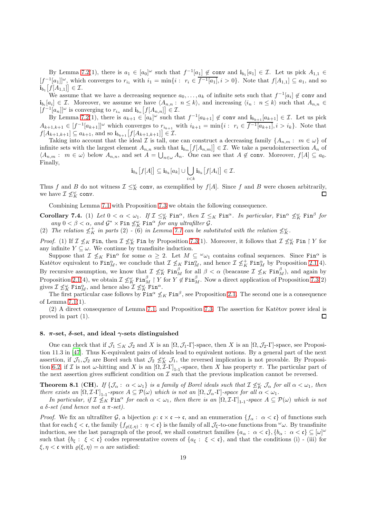By Lemma 7.2(1), there is  $a_1 \in [a_0]^\omega$  such that  $f^{-1}[a_1] \notin \text{conv}$  and  $\mathbf{i}_{b_1}[a_1] \in \mathcal{I}$ . Let us pick  $A_{1,1} \in$  $[f^{-1}[a_1]]^{\omega}$ , which converges to  $r_{i_1}$  with  $i_1 = \min\{i : r_i \in \overline{f^{-1}[a_1]}, i > 0\}$ . Note that  $f[A_{1,1}] \subseteq a_1$ , and so  $\mathbf{i}_{b_1}\big[f[A_{1,1}]\big] \in \mathcal{I}.$ 

We assume that we have a decreasing sequence  $a_0, \ldots, a_k$  of infinite sets such that  $f^{-1}[a_i] \notin \text{conv}$  and  $\mathbf{i}_{b_i}[a_i] \in \mathcal{I}$ . Moreover, we assume we have  $\langle A_{n,n} : n \leq k \rangle$ , and increasing  $\langle i_n : n \leq k \rangle$  such that  $A_{n,n} \in \mathcal{I}$  $[f^{-1}[a_n]]^{\omega}$  is converging to  $r_{i_n}$  and  $\mathbf{i}_{b_n}[f[A_{n,n}]] \in \mathcal{I}$ .

By Lemma 7.2(1), there is  $a_{k+1} \in [a_k]^{\omega}$  such that  $f^{-1}[a_{k+1}] \notin \mathsf{conv}$  and  $\mathbf{i}_{b_{k+1}}[a_{k+1}] \in \mathcal{I}$ . Let us pick  $A_{k+1,k+1} \in [f^{-1}[a_{k+1}]]^{\omega}$  which converges to  $r_{i_{k+1}}$  with  $i_{k+1} = \min\{i : r_i \in \overline{f^{-1}[a_{k+1}]}, i > i_k\}$ . Note that  $f[A_{k+1,k+1}] \subseteq a_{k+1}$ , and so  $\mathbf{i}_{b_{k+1}}[f[A_{k+1,k+1}]] \in \mathcal{I}$ .

Taking into account that the ideal I is tall, one can construct a decreasing family  $\{A_{n,m}: m \in \omega\}$  of infinite sets with the largest element  $A_{n,n}$  such that  $\mathbf{i}_{b_m}[f[A_{n,m}]] \in \mathcal{I}$ . We take a pseudointersection  $A_n$  of  $\langle A_{n,m} : m \in \omega \rangle$  below  $A_{n,n}$ , and set  $A = \bigcup_{n \in \omega} A_n$ . One can see that  $A \notin \text{conv. Moreover, } f[A] \subseteq a_0$ . Finally,

$$
\mathbf{i}_{b_k}\big[f[A]\big] \subseteq \mathbf{i}_{b_k}[a_k] \cup \bigcup_{i < k} \mathbf{i}_{b_k}\big[f[A_i]\big] \in \mathcal{I}.
$$

Thus f and B do not witness  $\mathcal{I} \leq_K^{\omega}$  conv, as exemplified by  $f[A]$ . Since f and B were chosen arbitrarily, we have  $\mathcal{I} \nleq_K^{\omega}$  conv. П

Combining Lemma 7.1 with Proposition 7.3 we obtain the following consequence.

Corollary 7.4. (1) Let  $0 < \alpha < \omega_1$ . If  $\mathcal{I} \leq_K^{\omega}$  Fin<sup> $\alpha$ </sup>, then  $\mathcal{I} \leq_K$  Fin $^{\alpha}$ . In particular, Fin $^{\alpha} \not\leq_K^{\omega}$  Fin $^{\beta}$  for any  $0 < \beta < \alpha$ , and  $\mathcal{G}^* \times \text{Fin} \nleq_K^{\omega} \text{Fin}^{\alpha}$  for any ultrafilter  $\mathcal{G}$ .

(2) The relation  $\not\leq_K^+$  in parts (2) - (6) in Lemma 7.1 can be substituted with the relation  $\not\leq_K^{\omega}$ .

*Proof.* (1) If  $\mathcal{I} \nleq_K$  Fin, then  $\mathcal{I} \nleq_K^{\omega}$  Fin by Proposition 7.3(1). Moreover, it follows that  $\mathcal{I} \nleq_K^{\omega}$  Fin  $\restriction Y$  for any infinite  $Y \subseteq \omega$ . We continue by transfinite induction.

Suppose that  $\mathcal{I} \nleq_K \text{Fin}^\alpha$  for some  $\alpha \geq 2$ . Let  $M \subseteq {}^{\omega}\omega_1$  contains cofinal sequences. Since  $\text{Fin}^\alpha$  is Katětov equivalent to  $\text{Fin}_{M}^{\alpha}$ , we conclude that  $\mathcal{I} \nleq_K \text{Fin}_{M}^{\alpha}$ , and hence  $\mathcal{I} \nleq_K^+ \text{Fin}_{M}^{\alpha}$  by Proposition [2.1\(](#page-4-1)4). By recursive assumption, we know that  $\mathcal{I} \not\leq_K^{\omega} \text{Fin}_{M}^{\beta}$  for all  $\beta < \alpha$  (beacause  $\mathcal{I} \not\leq_K \text{Fin}_{M}^{\beta}$ ), and again by Proposition [2.1\(](#page-4-1)4), we obtain  $\mathcal{I} \nleq_K^{\omega} \text{Fin}_{M}^{\beta} \restriction Y$  for  $Y \notin \text{Fin}_{M}^{\beta}$ . Now a direct application of Proposition 7.3(2) gives  $\mathcal{I} \nleq_K^{\omega} \text{Fin}_{M}^{\alpha}$ , and hence also  $\mathcal{I} \nleq_K^{\omega} \text{Fin}^{\alpha}$ .

The first particular case follows by  $\text{Fin}^{\alpha} \not\leq_K \text{Fin}^{\beta}$ , see Proposition [2.1.](#page-4-1) The second one is a consequence of Lemma 7.1(1).

 $(2)$  A direct consequence of Lemma 7.1, and Proposition 7.3. The assertion for Katětov power ideal is proved in part (1). 口

### <span id="page-18-0"></span>8.  $\pi$ -set,  $\delta$ -set, and ideal  $\gamma$ -sets distinguished

One can check that if  $\mathcal{J}_1 \leq_K \mathcal{J}_2$  and X is an  $[\Omega, \mathcal{J}_1-\Gamma]$ -space, then X is an  $[\Omega, \mathcal{J}_2-\Gamma]$ -space, see Proposition 11.3 in [\[47\]](#page-26-9). Thus K-equivalent pairs of ideals lead to equivalent notions. By a general part of the next assertion, if  $\mathcal{J}_1, \mathcal{J}_2$  are Borel such that  $\mathcal{J}_2 \nleq_K^{\omega} \mathcal{J}_1$ , the reversed implication is not provable. By Proposi-tion [6.2,](#page-13-2) if I is not ω-hitting and X is an  $[\Omega, \mathcal{I}\text{-}\Gamma]_{1\text{-1}}$ -space, then X has property  $\pi$ . The particular part of the next assertion gives sufficient condition on  $\mathcal I$  such that the previous implication cannot be reversed.

<span id="page-18-1"></span>**Theorem 8.1** (CH). If  $\{\mathcal{J}_{\alpha}: \alpha < \omega_1\}$  is a family of Borel ideals such that  $\mathcal{I} \nleq_K^{\omega} \mathcal{J}_{\alpha}$  for all  $\alpha < \omega_1$ , then there exists an  $[\Omega, \mathcal{I}\text{-}\Gamma]_{1-1}$ -space  $A \subseteq \mathcal{P}(\omega)$  which is not an  $[\Omega, \mathcal{J}_{\alpha}\text{-}\Gamma]$ -space for all  $\alpha < \omega_1$ .

In particular, if  $\mathcal{I} \nleq_K \text{Fin}^\alpha$  for each  $\alpha < \omega_1$ , then there is an  $[\Omega, \mathcal{I} - \Gamma]_{1-1}$ -space  $A \subseteq \mathcal{P}(\omega)$  which is not a  $\delta$ -set (and hence not a  $\pi$ -set).

*Proof.* We fix an ultrafilter G, a bijection  $\varrho: \mathfrak{c} \times \mathfrak{c} \to \mathfrak{c}$ , and an enumeration  $\{f_\alpha: \alpha < \mathfrak{c}\}\$  of functions such that for each  $\xi < \mathfrak{c}$ , the family  $\{f_{\varrho(\xi,\eta)}: \eta < \mathfrak{c}\}\$ is the family of all  $\mathcal{J}_{\xi}$ -to-one functions from  $\omega$ . By transfinite induction, see the last paragraph of the proof, we shall construct families  $\{a_\alpha: \alpha < \mathfrak{c}\}, \{b_\alpha: \alpha < \mathfrak{c}\} \subseteq [\omega]^\omega$ such that  $\{b_{\xi} : \xi < \mathfrak{c}\}\)$  codes representative covers of  $\{a_{\xi} : \xi < \mathfrak{c}\}\)$ , and that the conditions (i) - (iii) for  $\xi, \eta < \mathfrak{c}$  with  $\rho(\xi, \eta) = \alpha$  are satisfied: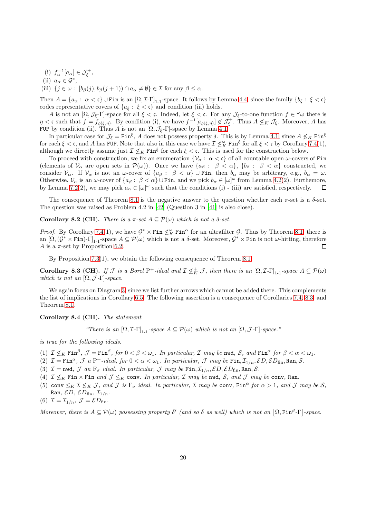- (i)  $f_{\alpha}^{-1}[a_{\alpha}] \in \mathcal{J}_{\xi}^{+},$
- (ii)  $a_{\alpha} \in \mathcal{G}^*$ ,
- (iii)  $\{j \in \omega : [b_{\beta}(j), b_{\beta}(j+1)) \cap a_{\alpha} \neq \emptyset\} \in \mathcal{I}$  for any  $\beta \leq \alpha$ .

Then  $A = \{a_{\alpha} : \alpha < \mathfrak{c}\}\cup\text{Fin}$  is an  $[\Omega, \mathcal{I}\text{-}\Gamma]_{1\text{-}1}$ -space. It follows by Lemma [4.4,](#page-11-3) since the family  $\{b_{\xi} : \xi < \mathfrak{c}\}\$ codes representative covers of  $\{a_{\xi}: \xi < \mathfrak{c}\}\$  and condition (iii) holds.

A is not an  $[\Omega, \mathcal{J}_{\xi} - \Gamma]$ -space for all  $\xi < \mathfrak{c}$ . Indeed, let  $\xi < \mathfrak{c}$ . For any  $\mathcal{J}_{\xi}$ -to-one function  $f \in \omega$  there is  $\eta < \mathfrak{c}$  such that  $f = f_{\varrho(\xi,\eta)}$ . By condition (i), we have  $f^{-1}[a_{\varrho(\xi,\eta)}] \notin \mathcal{J}_{\xi}^+$ . Thus  $A \nleq_K \mathcal{J}_{\xi}$ . Moreover, A has FUP by condition (ii). Thus A is not an  $[\Omega, \mathcal{J}_{\xi} - \Gamma]$ -space by Lemma [4.1.](#page-9-3)

In particular case for  $\mathcal{J}_{\xi} = \text{Fin}^{\xi}$ , A does not possess property  $\delta$ . This is by Lemma [4.1,](#page-9-3) since  $A \nleq_K \text{Fin}^{\xi}$ for each  $\xi < \mathfrak{c}$ , and A has FUP. Note that also in this case we have  $\mathcal{I} \not\leq_K^{\omega}$  Fin<sup> $\xi$ </sup> for all  $\xi < \mathfrak{c}$  by Corollary 7.4(1), although we directly assume just  $\mathcal{I} \nleq_K \text{Fin}^{\xi}$  for each  $\xi < \mathfrak{c}$ . This is used for the construction below.

To proceed with construction, we fix an enumeration  $\{\mathcal{V}_{\alpha}: \alpha < \mathfrak{c}\}\$  of all countable open  $\omega$ -covers of Fin (elements of  $\mathcal{V}_{\alpha}$  are open sets in  $\mathcal{P}(\omega)$ ). Once we have  $\{a_{\beta}: \beta < \alpha\}, \{b_{\beta}: \beta < \alpha\}$  constructed, we consider  $V_{\alpha}$ . If  $V_{\alpha}$  is not an  $\omega$ -cover of  $\{a_{\beta} : \beta < \alpha\} \cup \text{Fin}$ , then  $b_{\alpha}$  may be arbitrary, e.g.,  $b_{\alpha} = \omega$ . Otherwise,  $\mathcal{V}_{\alpha}$  is an  $\omega$ -cover of  $\{a_{\beta}: \beta < \alpha\} \cup \text{Fin}$ , and we pick  $b_{\alpha} \in [\omega]^{\omega}$  from Lemma [4.2\(](#page-9-2)2). Furthemore, by Lemma 7.2(2), we may pick  $a_{\alpha} \in [\omega]^{\omega}$  such that the conditions (i) - (iii) are satisfied, respectively.  $\Box$ 

The consequence of Theorem [8.1](#page-18-1) is the negative answer to the question whether each  $\pi$ -set is a  $\delta$ -set. The question was raised as Problem 4.2 in [\[42](#page-26-4)] (Question 3 in [\[41](#page-26-3)] is also close).

<span id="page-19-0"></span>Corollary 8.2 (CH). There is a  $\pi$ -set  $A \subseteq \mathcal{P}(\omega)$  which is not a  $\delta$ -set.

*Proof.* By Corollary 7.4(1), we have  $G^* \times \text{Fin } \nleq_K^{\omega} \text{Fin}^{\alpha}$  for an ultrafilter G. Thus by Theorem [8.1,](#page-18-1) there is an  $[\Omega, (\mathcal{G}^* \times \text{Fin}) - \Gamma]_{1-1}$ -space  $A \subseteq \mathcal{P}(\omega)$  which is not a  $\delta$ -set. Moreover,  $\mathcal{G}^* \times \text{Fin}$  is not  $\omega$ -hitting, therefore A is a  $\pi$ -set by Proposition [6.2.](#page-13-2)  $\Box$ 

By Proposition 7.3(1), we obtain the following consequence of Theorem [8.1.](#page-18-1)

<span id="page-19-2"></span>**Corollary 8.3 (CH).** If  $\mathcal{J}$  is a Borel P<sup>+</sup>-ideal and  $\mathcal{I} \nleq_K^+ \mathcal{J}$ , then there is an  $[\Omega, \mathcal{I} - \Gamma]_{1-1}$ -space  $A \subseteq \mathcal{P}(\omega)$ which is not an  $[\Omega, \mathcal{J} - \Gamma]$ -space.

We again focus on Diagram [3,](#page-14-1) since we list further arrows which cannot be added there. This complements the list of implications in Corollary [6.5.](#page-15-1) The following assertion is a consequence of Corollaries 7.4, [8.3,](#page-19-2) and Theorem [8.1.](#page-18-1)

<span id="page-19-1"></span>Corollary 8.4 (CH). The statement

"There is an  $[\Omega, \mathcal{I}\text{-}\Gamma]_{1,1}$ -space  $A \subseteq \mathcal{P}(\omega)$  which is not an  $[\Omega, \mathcal{J}\text{-}\Gamma]$ -space."

is true for the following ideals.

- (1)  $\mathcal{I} \nleq_K \text{Fin}^{\beta}$ ,  $\mathcal{J} = \text{Fin}^{\beta}$ , for  $0 < \beta < \omega_1$ . In particular,  $\mathcal{I}$  may be nwd,  $\mathcal{S}$ , and  $\text{Fin}^{\alpha}$  for  $\beta < \alpha < \omega_1$ .
- (2)  $\mathcal{I} = \text{Fin}^{\alpha}$ ,  $\mathcal{J}$  a P<sup>+</sup>-ideal, for  $0 < \alpha < \omega_1$ . In particular,  $\mathcal{J}$  may be  $\text{Fin}, \mathcal{I}_{1/n}, \mathcal{E}D, \mathcal{E}D_{\text{fin}}, \text{Ran}, \mathcal{S}$ .
- (3)  $\mathcal{I} = \text{nwd}, \mathcal{J}$  an  $F_{\sigma}$  ideal. In particular,  $\mathcal{J}$  may be  $\text{Fin}, \mathcal{I}_{1/n}, \mathcal{E}D, \mathcal{E}D_{\text{fin}}, \text{Ran}, \mathcal{S}$ .
- (4)  $\mathcal{I} \nleq_K \text{Fin} \times \text{Fin}$  and  $\mathcal{J} \leq_K \text{conv.}$  In particular,  $\mathcal{I}$  may be nwd,  $\mathcal{S}$ , and  $\mathcal{J}$  may be conv, Ran.
- (5) conv  $\leq_K \mathcal{I} \not\leq_K \mathcal{I}$ , and  $\mathcal{J}$  is  $F_{\sigma}$  ideal. In particular,  $\mathcal{I}$  may be conv,  $\text{Fin}^{\alpha}$  for  $\alpha > 1$ , and  $\mathcal{J}$  may be  $\mathcal{S}$ , Ran,  $\mathcal{E}D, \mathcal{E}D_{fin}, \mathcal{I}_{1/n}$ .

(6) 
$$
\mathcal{I} = \mathcal{I}_{1/n}, \mathcal{J} = \mathcal{E}D_{\text{fin}}.
$$

Moreover, there is  $A \subseteq \mathcal{P}(\omega)$  possessing property  $\delta'$  (and so  $\delta$  as well) which is not an  $[\Omega, \text{Fin}^{\beta}]\text{-}\text{Space}.$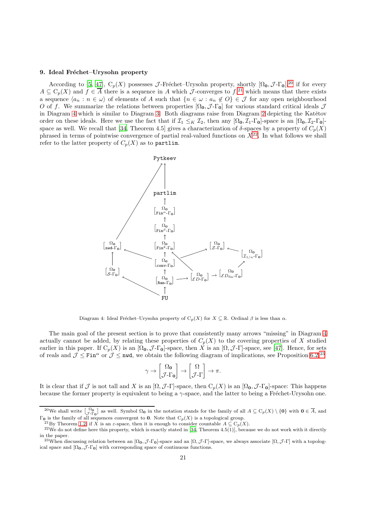### <span id="page-20-0"></span>9. Ideal Fréchet–Urysohn property

According to [\[5,](#page-26-17) [47\]](#page-26-9),  $C_p(X)$  possesses J-Fréchet–Urysohn property, shortly  $[\Omega_0, \mathcal{J} - \Gamma_0]$ , [20](#page-20-1) if for every  $A \subseteq C_p(X)$  and  $f \in \overline{A}$  there is a sequence in A which J-converges to  $f^{(2)}$ , which means that there exists a sequence  $\langle a_n : n \in \omega \rangle$  of elements of A such that  $\{n \in \omega : a_n \notin O\} \in \mathcal{J}$  for any open neighbourhood O of f. We summarize the relations between properties  $[\Omega_0, \mathcal{J} - \Gamma_0]$  for various standard critical ideals  $\mathcal{J}$ in Diagram [4](#page-20-3) which is similar to Diagram [3.](#page-14-1) Both diagrams raise from Diagram [2](#page-3-2) depicting the Katětov order on these ideals. Here we use the fact that if  $\mathcal{I}_1 \leq_K \mathcal{I}_2$ , then any  $[\Omega_0, \mathcal{I}_1-\Gamma_0]$ -space is an  $[\Omega_0, \mathcal{I}_2-\Gamma_0]$ -space as well. We recall that [\[34,](#page-26-7) Theorem 4.5] gives a characterization of  $\delta$ -spaces by a property of  $C_p(X)$ phrased in terms of pointwise convergence of partial real-valued functions on  $X^{22}$  $X^{22}$  $X^{22}$ . In what follows we shall refer to the latter property of  $C_p(X)$  as to partlim.



<span id="page-20-3"></span>Diagram 4: Ideal Fréchet–Urysohn property of  $C_p(X)$  for  $X \subseteq \mathbb{R}$ . Ordinal  $\beta$  is less than  $\alpha$ .

The main goal of the present section is to prove that consistently many arrows "missing" in Diagram [4](#page-20-3) actually cannot be added, by relating these properties of  $C_p(X)$  to the covering properties of X studied earlier in this paper. If  $C_p(X)$  is an  $[\Omega_0, \mathcal{J}$ -Γ<sub>0</sub>]-space, then X is an  $[\Omega, \mathcal{J}$ -Γ]-space, see [\[47](#page-26-9)]. Hence, for sets of reals and  $\mathcal{J} \leq \text{Fin}^{\alpha}$  or  $\mathcal{J} \leq \text{nwd}$ , we obtain the following diagram of implications, see Proposition [6.2.](#page-13-2)<sup>[23](#page-20-5)</sup>

$$
\gamma \to \begin{bmatrix} \Omega_0 \\ \mathcal{J}\text{-}\Gamma_0 \end{bmatrix} \to \begin{bmatrix} \Omega \\ \mathcal{J}\text{-}\Gamma \end{bmatrix} \to \pi.
$$

It is clear that if  $\mathcal J$  is not tall and X is an  $[\Omega, \mathcal J$ -Γ]-space, then  $C_p(X)$  is an  $[\Omega_0, \mathcal J$ -Γ<sub>0</sub>]-space: This happens because the former property is equivalent to being a  $\gamma$ -space, and the latter to being a Fréchet-Urysohn one.

<sup>&</sup>lt;sup>20</sup>We shall write  $\begin{bmatrix} \Omega_0 \\ J - \Gamma_0 \end{bmatrix}$  as well. Symbol  $\Omega_0$  in the notation stands for the family of all  $A \subseteq C_p(X) \setminus \{0\}$  with  $0 \in \overline{A}$ , and  $\Gamma_0$  is the family of all sequences convergent to 0. Note that  $C_p(X)$  is a topological group.

<span id="page-20-2"></span><span id="page-20-1"></span><sup>&</sup>lt;sup>21</sup>By Theorem [1.2,](#page-2-0) if X is an  $\varepsilon$ -space, then it is enough to consider countable  $A \subseteq C_p(X)$ .

 $22$  We do not define here this property, which is exactly stated in [\[34,](#page-26-7) Theorem 4.5(1)], because we do not work with it directly in the paper.

<span id="page-20-5"></span><span id="page-20-4"></span><sup>&</sup>lt;sup>23</sup>When discussing relation between an  $[\Omega_0, \mathcal{J} - \Gamma_0]$ -space and an  $[\Omega, \mathcal{J} - \Gamma]$ -space, we always associate  $[\Omega, \mathcal{J} - \Gamma]$  with a topological space and  $[\Omega_0, \mathcal{J} - \Gamma_0]$  with corresponding space of continuous functions.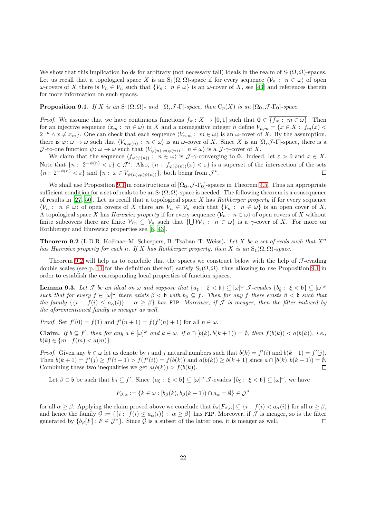We show that this implication holds for arbitrary (not necessary tall) ideals in the realm of  $S_1(\Omega, \Omega)$ -spaces. Let us recall that a topological space X is an  $S_1(\Omega, \Omega)$ -space if for every sequence  $\langle \mathcal{V}_n : n \in \omega \rangle$  of open  $ω$ -covers of X there is  $V_n ∈ V_n$  such that  $\{V_n : n ∈ ω\}$  is an  $ω$ -cover of X, see [\[43](#page-26-31)] and references therein for more information on such spaces.

<span id="page-21-0"></span>**Proposition 9.1.** If X is an  $S_1(\Omega, \Omega)$ - and  $[\Omega, \mathcal{J} - \Gamma]$ -space, then  $C_p(X)$  is an  $[\Omega_0, \mathcal{J} - \Gamma_0]$ -space.

*Proof.* We assume that we have continuous functions  $f_m: X \to [0,1]$  such that  $\mathbf{0} \in \{f_m: m \in \omega\}$ . Then for an injective sequence  $\langle x_m : m \in \omega \rangle$  in X and a nonnegative integer n define  $V_{n,m} = \{x \in X : f_m(x)$  $2^{-n} \wedge x \neq x_m$ . One can check that each sequence  $\langle V_{n,m} : m \in \omega \rangle$  is an  $\omega$ -cover of X. By the assumption, there is  $\varphi: \omega \to \omega$  such that  $\langle V_{n,\varphi(n)}: n \in \omega \rangle$  is an  $\omega$ -cover of X. Since X is an  $[\Omega, \mathcal{J}$ -Γ]-space, there is a J-to-one function  $\psi: \omega \to \omega$  such that  $\langle V_{\psi(n),\varphi(\psi(n))} : n \in \omega \rangle$  is a J- $\gamma$ -cover of X.

We claim that the sequence  $\langle f_{\varphi(\psi(n))} : n \in \omega \rangle$  is  $\mathcal{J}$ -γ-converging to 0. Indeed, let  $\varepsilon > 0$  and  $x \in X$ . Note that  $\{n: 2^{-\psi(n)} < \varepsilon\} \in \mathcal{J}^*$ . Also,  $\{n: f_{\varphi(\psi(n))}(x) < \varepsilon\}$  is a superset of the intersection of the sets  ${n: 2^{-\psi(n)} < \varepsilon}$  and  ${n: x \in V_{\psi(n),\varphi(\psi(n))}}$ , both being from  $\mathcal{J}^*$ .  $\Box$ 

We shall use Proposition [9.1](#page-21-0) in constructions of  $[\Omega_0, \mathcal{J} - \Gamma_0]$ -spaces in Theorem [9.5.](#page-22-0) Thus an appropriate sufficient condition for a set of reals to be an  $S_1(\Omega, \Omega)$ -space is needed. The following theorem is a consequence of results in  $[27, 50]$  $[27, 50]$  $[27, 50]$ . Let us recall that a topological space X has Rothberger property if for every sequence  $\langle V_n : n \in \omega \rangle$  of open covers of X there are  $V_n \in V_n$  such that  $\{V_n : n \in \omega\}$  is an open cover of X. A topological space X has Hurewicz property if for every sequence  $\langle \mathcal{V}_n : n \in \omega \rangle$  of open covers of X without finite subcovers there are finite  $\mathcal{W}_n \subseteq \mathcal{V}_n$  such that  $\{\bigcup \mathcal{W}_n : n \in \omega\}$  is a  $\gamma$ -cover of X. For more on Rothberger and Hurewicz properties see [\[8](#page-26-20), [43\]](#page-26-31).

<span id="page-21-1"></span>**Theorem 9.2** (L.D.R. Kočinac–M. Scheepers, B. Tsaban–T. Weiss). Let X be a set of reals such that  $X<sup>n</sup>$ has Hurewicz property for each n. If X has Rothberger property, then X is an  $S_1(\Omega, \Omega)$ -space.

Theorem [9.2](#page-21-1) will help us to conclude that the spaces we construct below with the help of  $\mathcal{J}\text{-evading}$ double scales (see p. [11](#page-10-0) for the definition thereof) satisfy  $S_1(\Omega,\Omega)$ , thus allowing to use Proposition [9.1](#page-21-0) in order to establish the corresponding local properties of function spaces.

<span id="page-21-2"></span>**Lemma 9.3.** Let  $\mathcal J$  be an ideal on  $\omega$  and suppose that  $\{a_{\xi}: \xi < \mathfrak{b}\} \subseteq [\omega]^{\omega}$   $\mathcal J$ -evades  $\{b_{\xi}: \xi < \mathfrak{b}\} \subseteq [\omega]^{\omega}$ such that for every  $f \in [\omega]^\omega$  there exists  $\beta < \mathfrak{b}$  with  $b_\beta \subseteq f$ . Then for any f there exists  $\beta < \mathfrak{b}$  such that the family  $\{\{i : f(i) \leq a_\alpha(i)\} : \alpha \geq \beta\}$  has FIP. Moreover, if J is meager, then the filter induced by the aforementioned family is meager as well.

*Proof.* Set  $f'(0) = f(1)$  and  $f'(n + 1) = f(f'(n) + 1)$  for all  $n \in \omega$ .

**Claim.** If  $b \subseteq f'$ , then for any  $a \in [\omega]^{\omega}$  and  $k \in \omega$ , if  $a \cap [b(k), b(k+1)) = \emptyset$ , then  $f(b(k)) < a(b(k))$ , i.e.,  $b(k) \in \{m : f(m) < a(m)\}.$ 

*Proof.* Given any  $k \in \omega$  let us denote by i and j natural numbers such that  $b(k) = f'(i)$  and  $b(k+1) = f'(j)$ . Then  $b(k + 1) = f'(j) \ge f'(i + 1) > f(f'(i)) = f(b(k))$  and  $a(b(k)) \ge b(k + 1)$  since  $a \cap [b(k), b(k + 1)) = \emptyset$ . Combining these two inequalities we get  $a(b(k)) > f(b(k))$ .  $\Box$ 

Let  $\beta \in \mathfrak{b}$  be such that  $b_{\beta} \subseteq f'$ . Since  $\{a_{\xi} : \xi < \mathfrak{b}\} \subseteq [\omega]^{\omega}$  J-evades  $\{b_{\xi} : \xi < \mathfrak{b}\} \subseteq [\omega]^{\omega}$ , we have

$$
F_{\beta,\alpha} := \{ k \in \omega : [b_{\beta}(k), b_{\beta}(k+1)) \cap a_{\alpha} = \emptyset \} \in \mathcal{J}^*
$$

for all  $\alpha \geq \beta$ . Applying the claim proved above we conclude that  $b_{\beta}[F_{\beta,\alpha}] \subseteq \{i : f(i) < a_{\alpha}(i)\}\$ for all  $\alpha \geq \beta$ , and hence the family  $\mathcal{G} := \{ \{i : f(i) \leq a_{\alpha}(i)\} : \alpha \geq \beta \}$  has FIP. Moreover, if  $\mathcal{J}$  is meager, so is the filter generated by  $\{b_{\beta}[F] : F \in \mathcal{J}^*\}$ . Since  $\mathcal{G}$  is a subset of the latter one, it is meager as well. П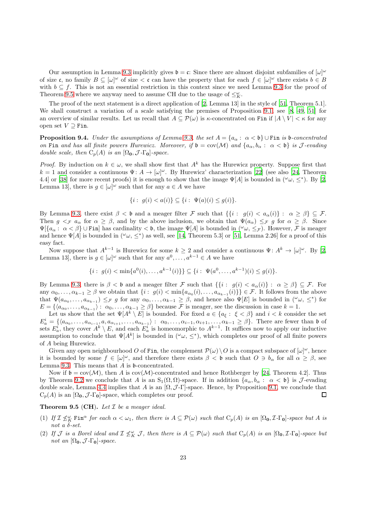Our assumption in Lemma [9.3](#page-21-2) implicitly gives  $\mathfrak{b} = \mathfrak{c}$ : Since there are almost disjoint subfamilies of  $[\omega]^\omega$ of size c, no family  $B \subseteq [\omega]^\omega$  of size  $\lt c$  can have the property that for each  $f \in [\omega]^\omega$  there exists  $b \in B$ with  $b \subseteq f$ . This is not an essential restriction in this context since we need Lemma [9.3](#page-21-2) for the proof of Theorem [9.5](#page-22-0) where we anyway need to assume CH due to the usage of  $\leq^{\omega}_{K}$ .

The proof of the next statement is a direct application of [\[2,](#page-25-3) Lemma 13] in the style of [\[51](#page-26-35), Theorem 5.1]. We shall construct a variation of a scale satisfying the premises of Proposition [9.1,](#page-21-0) see [\[8,](#page-26-20) [49,](#page-26-34) [51](#page-26-35)] for an overview of similar results. Let us recall that  $A \subseteq \mathcal{P}(\omega)$  is  $\kappa$ -concentrated on Fin if  $|A \setminus V| < \kappa$  for any open set  $V \supseteq$  Fin.

<span id="page-22-1"></span>**Proposition 9.4.** Under the assumptions of Lemma [9.3,](#page-21-2) the set  $A = \{a_\alpha : \alpha < \mathfrak{b}\}\cup$  Fin is b-concentrated on Fin and has all finite powers Hurewicz. Moreover, if  $\mathfrak{b} = \text{cov}(\mathcal{M})$  and  $\{a_{\alpha}, b_{\alpha} : \alpha < \mathfrak{b}\}\$ is J-evading double scale, then  $C_p(A)$  is an  $[\Omega_0, \mathcal{J} - \Gamma_0]$ -space.

*Proof.* By induction on  $k \in \omega$ , we shall show first that  $A^k$  has the Hurewicz property. Suppose first that  $k = 1$  and consider a continuous  $\Psi: A \to [\omega]^\omega$ . By Hurewicz' characterization [\[22\]](#page-26-41) (see also [\[24,](#page-26-42) Theorem 4.4] or [\[38\]](#page-26-43) for more recent proofs) it is enough to show that the image  $\Psi[A]$  is bounded in  $({}^{\omega}\omega, \leq^*)$ . By [\[2,](#page-25-3) Lemma 13, there is  $g \in [\omega]^\omega$  such that for any  $a \in A$  we have

$$
\{i: g(i) < a(i)\} \subseteq \{i: \Psi(a)(i) \le g(i)\}.
$$

By Lemma [9.3,](#page-21-2) there exist  $\beta < \mathfrak{b}$  and a meager filter F such that  $\{\{i : g(i) < a_{\alpha}(i)\} : \alpha \geq \beta\} \subseteq \mathcal{F}$ . Then  $g \leq_{\mathcal{F}} a_{\alpha}$  for  $\alpha \geq \beta$ , and by the above inclusion, we obtain that  $\Psi(a_{\alpha}) \leq_{\mathcal{F}} g$  for  $\alpha \geq \beta$ . Since  $\Psi[\{a_{\alpha}: \alpha < \beta\} \cup \text{Fin}\}]$  has cardinality  $\lt b$ , the image  $\Psi[A]$  is bounded in  $({}^{\omega}\omega, \leq_{\mathcal{F}})$ . However, F is meager and hence  $\Psi[A]$  is bounded in  $({}^{\omega}\omega, \leq^*)$  as well, see [\[14](#page-26-44), Theorem 5.3] or [\[51,](#page-26-35) Lemma 2.26] for a proof of this easy fact.

Now suppose that  $A^{k-1}$  is Hurewicz for some  $k \geq 2$  and consider a continuous  $\Psi: A^k \to [\omega]^\omega$ . By [\[2,](#page-25-3) Lemma 13], there is  $g \in [\omega]^\omega$  such that for any  $a^0, \ldots, a^{k-1} \in A$  we have

$$
\{i: g(i) < \min\{a^0(i), \dots, a^{k-1}(i)\}\} \subseteq \{i: \Psi(a^0, \dots, a^{k-1})(i) \le g(i)\}.
$$

By Lemma [9.3,](#page-21-2) there is  $\beta < \mathfrak{b}$  and a meager filter F such that  $\{\{i : g(i) < a_{\alpha}(i)\} : \alpha \geq \beta\} \subseteq \mathcal{F}$ . For any  $\alpha_0, \ldots, \alpha_{k-1} \ge \beta$  we obtain that  $\{i : g(i) < \min\{a_{\alpha_0}(i), \ldots, a_{\alpha_{k-1}}(i)\}\}\in \mathcal{F}$ . It follows from the above that  $\Psi(a_{\alpha_0},\ldots,a_{\alpha_{k-1}}) \leq_{\mathcal{F}} g$  for any  $\alpha_0,\ldots,\alpha_{k-1} \geq \beta$ , and hence also  $\Psi[E]$  is bounded in  $({}^{\omega}\omega, \leq^*)$  for  $E = \{ \langle a_{\alpha_0}, \ldots, a_{\alpha_{k-1}} \rangle : \ \alpha_0, \ldots, \alpha_{k-1} \geq \beta \}$  because  $\mathcal F$  is meager, see the discussion in case  $k = 1$ .

Let us show that the set  $\Psi[A^k \setminus E]$  is bounded. For fixed  $a \in \{a_{\xi} : \xi < \beta\}$  and  $i < k$  consider the set  $E_a^i = \{ \langle a_{\alpha_0}, \ldots, a_{\alpha_{i-1}}, a, a_{\alpha_{i+1}}, \ldots, a_{\alpha_{k-1}} \rangle : \ \alpha_0, \ldots, \alpha_{i-1}, \alpha_{i+1}, \ldots, \alpha_{k-1} \geq \beta \}.$  There are fewer than **b** of sets  $E_a^i$ , they cover  $A^k \setminus E$ , and each  $E_a^i$  is homeomorphic to  $A^{k-1}$ . It suffices now to apply our inductive assumption to conclude that  $\Psi[A^k]$  is bounded in  $({}^{\omega}\omega, \leq^*)$ , which completes our proof of all finite powers of A being Hurewicz.

Given any open neighbourhood O of Fin, the complement  $\mathcal{P}(\omega) \setminus O$  is a compact subspace of  $[\omega]^\omega$ , hence it is bounded by some  $f \in [\omega]^\omega$ , and therefore there exists  $\beta < \mathfrak{b}$  such that  $O \ni b_\alpha$  for all  $\alpha \geq \beta$ , see Lemma [9.3.](#page-21-2) This means that  $A$  is  $\mathfrak b$ -concentrated.

Now if  $\mathfrak{b} = \text{cov}(\mathcal{M})$ , then A is  $\text{cov}(\mathcal{M})$ -concentrated and hence Rothberger by [\[24,](#page-26-42) Theorem 4.2]. Thus by Theorem [9.2](#page-21-1) we conclude that A is an  $S_1(\Omega, \Omega)$ -space. If in addition  $\{a_{\alpha}, b_{\alpha} : \alpha < b\}$  is J-evading double scale, Lemma [4.4](#page-11-3) implies that A is an  $[\Omega, \mathcal{J}\text{-}\Gamma]$ -space. Hence, by Proposition [9.1,](#page-21-0) we conclude that  $C_p(A)$  is an  $[\Omega_0, \mathcal{J} - \Gamma_0]$ -space, which completes our proof.  $\Box$ 

# <span id="page-22-0"></span>**Theorem 9.5 (CH).** Let  $I$  be a meager ideal.

- (1) If  $\mathcal{I} \nleq_K^{\omega}$  Fin<sup> $\alpha$ </sup> for each  $\alpha < \omega_1$ , then there is  $A \subseteq \mathcal{P}(\omega)$  such that  $C_p(A)$  is an  $[\Omega_0, \mathcal{I} \Gamma_0]$ -space but A is not a  $\delta$ -set.
- (2) If  $\mathcal J$  is a Borel ideal and  $\mathcal I \nleq_K \mathcal J$ , then there is  $A \subseteq \mathcal P(\omega)$  such that  $C_p(A)$  is an  $[\Omega_0, \mathcal I$ - $\Gamma_0]$ -space but not an  $[\Omega_0, \mathcal{J} - \Gamma_0]$ -space.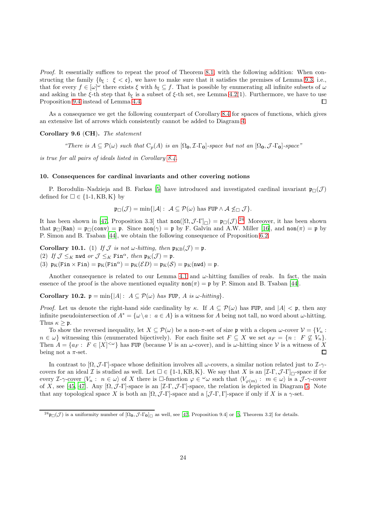Proof. It essentially suffices to repeat the proof of Theorem [8.1,](#page-18-1) with the following addition: When constructing the family  $\{b_{\xi} : \xi < \mathfrak{c}\}\,$ , we have to make sure that it satisfies the premises of Lemma [9.3,](#page-21-2) i.e., that for every  $f \in [\omega]^\omega$  there exists  $\xi$  with  $b_{\xi} \subseteq f$ . That is possible by enumerating all infinite subsets of  $\omega$ and asking in the  $\xi$ -th step that  $b_{\xi}$  is a subset of  $\xi$ -th set, see Lemma [4.2\(](#page-9-2)1). Furthermore, we have to use Proposition [9.4](#page-22-1) instead of Lemma [4.4.](#page-11-3)  $\Box$ 

As a consequence we get the following counterpart of Corollary [8.4](#page-19-1) for spaces of functions, which gives an extensive list of arrows which consistently cannot be added to Diagram [4.](#page-20-3)

### Corollary 9.6 (CH). The statement

"There is  $A \subseteq \mathcal{P}(\omega)$  such that  $C_p(A)$  is an  $[\Omega_0, \mathcal{I} - \Gamma_0]$ -space but not an  $[\Omega_0, \mathcal{I} - \Gamma_0]$ -space"

is true for all pairs of ideals listed in Corollary [8.4.](#page-19-1)

### <span id="page-23-0"></span>10. Consequences for cardinal invariants and other covering notions

P. Borodulin–Nadzieja and B. Farkas [\[5\]](#page-26-17) have introduced and investigated cardinal invariant  $\mathfrak{p}_{\Box}(\mathcal{J})$ defined for  $\square \in \{1\text{-}1, \text{KB}, \text{K}\}\;$  by

$$
\mathfrak{p}_{\Box}(\mathcal{J}) = \min\{|\mathcal{A}|: \ \mathcal{A} \subseteq \mathcal{P}(\omega) \text{ has FUP} \land \mathcal{A} \nleq_{\Box} \mathcal{J}\}.
$$

It has been shown in [\[47](#page-26-9), Proposition 3.3] that  $\text{non}([\Omega, \mathcal{J} - \Gamma]_{\Box}) = \mathfrak{p}_{\Box}(\mathcal{J})^{24}$  $\text{non}([\Omega, \mathcal{J} - \Gamma]_{\Box}) = \mathfrak{p}_{\Box}(\mathcal{J})^{24}$  $\text{non}([\Omega, \mathcal{J} - \Gamma]_{\Box}) = \mathfrak{p}_{\Box}(\mathcal{J})^{24}$  Moreover, it has been shown that  $\mathfrak{p}_{\Box}(\text{Ran}) = \mathfrak{p}_{\Box}(\text{conv}) = \mathfrak{p}$ . Since  $\text{non}(\gamma) = \mathfrak{p}$  by F. Galvin and A.W. Miller [\[16](#page-26-11)], and  $\text{non}(\pi) = \mathfrak{p}$  by P. Simon and B. Tsaban [\[44\]](#page-26-5), we obtain the following consequence of Proposition [6.2.](#page-13-2)

**Corollary 10.1.** (1) If  $\mathcal J$  is not w-hitting, then  $\mathfrak{p}_{KB}(\mathcal J) = \mathfrak{p}$ . (2) If  $\mathcal{J} \leq_K \mathbf{n}$  wd or  $\mathcal{J} \leq_K \mathbf{Fin}^\alpha$ , then  $\mathfrak{p}_K(\mathcal{J}) = \mathfrak{p}$ . (3)  $\mathfrak{p}_K(\text{Fin} \times \text{Fin}) = \mathfrak{p}_K(\text{Fin}^{\alpha}) = \mathfrak{p}_K(\mathcal{E}D) = \mathfrak{p}_K(\mathcal{S}) = \mathfrak{p}_K(\text{nwd}) = \mathfrak{p}.$ 

Another consequence is related to our Lemma [4.1](#page-9-3) and  $\omega$ -hitting families of reals. In fact, the main essence of the proof is the above mentioned equality  $\text{non}(\pi) = \mathfrak{p}$  by P. Simon and B. Tsaban [\[44](#page-26-5)].

Corollary 10.2.  $\mathfrak{p} = \min\{|A| : A \subseteq \mathcal{P}(\omega) \text{ has FUP}, A \text{ is } \omega\text{-hitting}\}.$ 

*Proof.* Let us denote the right-hand side cardinality by  $\kappa$ . If  $A \subseteq \mathcal{P}(\omega)$  has FUP, and  $|A| < \mathfrak{p}$ , then any infinite pseudointersection of  $A^* = {\omega \ a : a \in A}$  is a witness for A being not tall, no word about  $\omega$ -hitting. Thus  $\kappa \geq \mathfrak{p}$ .

To show the reversed inequality, let  $X \subseteq \mathcal{P}(\omega)$  be a non- $\pi$ -set of size p with a clopen  $\omega$ -cover  $\mathcal{V} = \{V_n :$  $n \in \omega$  witnessing this (enumerated bijectively). For each finite set  $F \subseteq X$  we set  $a_F = \{n : F \nsubseteq V_n\}$ . Then  $A = \{a_F : F \in [X]^{<\omega}\}\$ has FUP (because  $V$  is an  $\omega$ -cover), and is  $\omega$ -hitting since  $V$  is a witness of X being not a  $\pi$ -set. П

In contrast to  $[\Omega, \mathcal{J}\text{-}\Gamma]$ -space whose definition involves all  $\omega$ -covers, a similar notion related just to  $\mathcal{I}\text{-}\gamma$ covers for an ideal I is studied as well. Let  $\square \in \{1-1, KB, K\}$ . We say that X is an  $[\mathcal{I}\text{-}\Gamma, \mathcal{J}\text{-}\Gamma]_{\square}$ -space if for every *I*- $\gamma$ -cover  $\langle V_n : n \in \omega \rangle$  of X there is  $\Box$ -function  $\varphi \in {}^{\omega}\omega$  such that  $\langle V_{\varphi(m)} : m \in \omega \rangle$  is a  $\mathcal{J}$ - $\gamma$ -cover of X, see [\[45](#page-26-19), [47\]](#page-26-9). Any  $[\Omega, \mathcal{J}\text{-}\Gamma]$ -space is an  $[\mathcal{I}\text{-}\Gamma, \mathcal{J}\text{-}\Gamma]$ -space, the relation is depicted in Diagram [5.](#page-24-1) Note that any topological space X is both an  $[\Omega, \mathcal{J}\text{-}\Gamma]$ -space and a  $[\mathcal{J}\text{-}\Gamma,\Gamma]$ -space if only if X is a  $\gamma$ -set.

<span id="page-23-1"></span><sup>&</sup>lt;sup>24</sup> $\mathfrak{p}_{\Box}(\mathcal{J})$  is a uniformity number of  $[\Omega_0, \mathcal{J}\text{-}\Gamma_0]_{\Box}$  as well, see [\[47](#page-26-9), Proposition 9.4] or [\[5,](#page-26-17) Theorem 3.2] for details.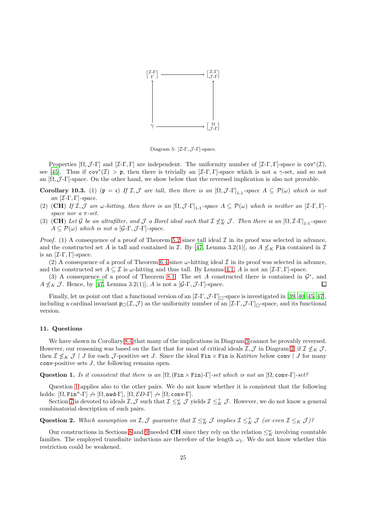

<span id="page-24-1"></span>Diagram 5:  $[\mathcal{I}\text{-}\Gamma,\mathcal{J}\text{-}\Gamma]$ -space.

Properties  $[\Omega, \mathcal{J}\text{-}\Gamma]$  and  $[\mathcal{I}\text{-}\Gamma, \Gamma]$  are independent. The uniformity number of  $[\mathcal{I}\text{-}\Gamma, \Gamma]$ -space is cov<sup>\*</sup> $(\mathcal{I}),$ see [\[45\]](#page-26-19). Thus if  $cov^*(\mathcal{I}) > \mathfrak{p}$ , then there is trivially an [ $\mathcal{I}\text{-}\Gamma,\Gamma$ ]-space which is not a  $\gamma$ -set, and so not an  $[\Omega, \mathcal{J}\text{-}\Gamma]$ -space. On the other hand, we show below that the reversed implication is also not provable.

Corollary 10.3. (1) ( $\mathfrak{p} = \mathfrak{c}$ ) If I, J are tall, then there is an  $[\Omega, \mathcal{J} - \Gamma]_{1-1}$ -space  $A \subseteq \mathcal{P}(\omega)$  which is not an  $[\mathcal{I}\text{-}\Gamma,\Gamma]\text{-space.}$ 

- (2) (CH) If I, J are w-hitting, then there is an  $[\Omega, \mathcal{J} \Gamma]_{1-1}$ -space  $A \subseteq \mathcal{P}(\omega)$  which is neither an  $[\mathcal{I} \Gamma, \Gamma]$ space nor a π-set.
- (3) (CH) Let G be an ultrafilter, and J a Borel ideal such that  $\mathcal{I} \nleq_K^{\omega} \mathcal{J}$ . Then there is an  $[\Omega, \mathcal{I} \Gamma]_{1-1}$ -space  $A \subseteq \mathcal{P}(\omega)$  which is not a  $[\mathcal{G}-\Gamma, \mathcal{J}-\Gamma]$ -space.

Proof. (1) A consequence of a proof of Theorem [5.2](#page-12-0) since tall ideal  $\mathcal I$  in its proof was selected in advance, and the constructed set A is tall and contained in  $\mathcal I$ . By [\[47,](#page-26-9) Lemma 3.2(1)], no  $A \nleq_K$  Fin contained in  $\mathcal I$ is an  $[\mathcal{I}\text{-}\Gamma,\Gamma]$ -space.

(2) A consequence of a proof of Theorem [6.4](#page-14-0) since  $\omega$ -hitting ideal  $\mathcal I$  in its proof was selected in advance, and the constructed set  $A \subseteq \mathcal{I}$  is  $\omega$ -hitting and thus tall. By Lemma [4.1,](#page-9-3) A is not an  $[\mathcal{I}\text{-}\Gamma,\Gamma]$ -space.

(3) A consequence of a proof of Theorem [8.1:](#page-18-1) The set A constructed there is contained in  $\mathcal{G}^*$ , and  $A \nleq_K \mathcal{J}$ . Hence, by [\[47,](#page-26-9) Lemma 3.2(1)], A is not a [ $\mathcal{G}\text{-}\Gamma$ ,  $\mathcal{J}\text{-}\Gamma$ ]-space.  $\Box$ 

Finally, let us point out that a functional version of an  $[I-\Gamma, \mathcal{J}-\Gamma]_{\square}$ -space is investigated in [\[39,](#page-26-45) [40,](#page-26-46) [45,](#page-26-19) [47](#page-26-9)], including a cardinal invariant  $\mathfrak{p}_{\Box}(\mathcal{I},\mathcal{J})$  as the uniformity number of an  $[\mathcal{I}\text{-}\Gamma,\mathcal{J}\text{-}\Gamma]_{\Box}$ -space, and its functional version.

# 11. Questions

We have shown in Corollary [8.4](#page-19-1) that many of the implications in Diagram [3](#page-14-1) cannot be provably reversed. However, our reasoning was based on the fact that for most of critical ideals  $\mathcal{I},\mathcal{J}$  in Diagram [2,](#page-3-2) if  $\mathcal{I}\nleq_K \mathcal{J}$ , then  $\mathcal{I} \nleq_K \mathcal{J} \restriction J$  for each  $\mathcal{J}$ -positive set J. Since the ideal Fin  $\times$  Fin is Katětov below conv  $\restriction J$  for many conv-positive sets  $J$ , the following remains open.

<span id="page-24-0"></span>Question 1. Is it consistent that there is an  $[\Omega,(\text{Fin}\times \text{Fin})-\Gamma]$ -set which is not an  $[\Omega, \text{conv}-\Gamma]$ -set?

Question [1](#page-24-0) applies also to the other pairs. We do not know whether it is consistent that the following holds:  $[\Omega, \text{Fin}^{\alpha}\text{-}\Gamma] \nrightarrow [\Omega, \text{nwd}\text{-}\Gamma], [\Omega, \mathcal{E}D\text{-}\Gamma] \nrightarrow [\Omega, \text{conv}\text{-}\Gamma].$ 

Section [7](#page-15-0) is devoted to ideals  $\mathcal{I}, \mathcal{J}$  such that  $\mathcal{I} \leq_K^{\omega} \mathcal{J}$  yields  $\mathcal{I} \leq_K^+ \mathcal{J}$ . However, we do not know a general combinatorial description of such pairs.

Question 2. Which assumption on  $\mathcal{I},\mathcal{J}$  guarantee that  $\mathcal{I} \leq_K^{\omega} \mathcal{J}$  implies  $\mathcal{I} \leq_K^+ \mathcal{J}$  (or even  $\mathcal{I} \leq_K \mathcal{J}$ )?

Our constructions in Sections [8](#page-18-0) and [9](#page-20-0) needed CH since they rely on the relation  $\leq_K^{\omega}$  involving countable families. The employed transfinite inductions are therefore of the length  $\omega_1$ . We do not know whether this restriction could be weakened.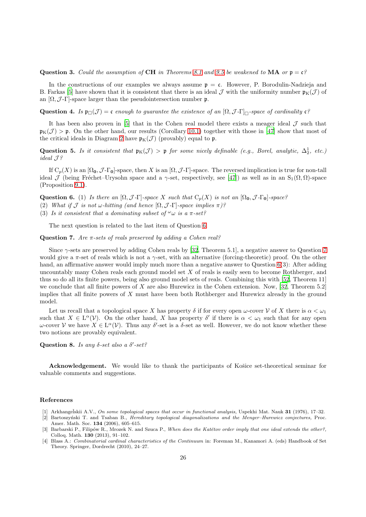# Question 3. Could the assumption of CH in Theorems [8.1](#page-18-1) and [9.5](#page-22-0) be weakened to MA or  $\mathfrak{p} = \mathfrak{c}$ ?

In the constructions of our examples we always assume  $p = c$ . However, P. Borodulin-Nadzieja and B. Farkas [\[5\]](#page-26-17) have shown that it is consistent that there is an ideal J with the uniformity number  $\mathfrak{p}_K(\mathcal{J})$  of an  $[\Omega, \mathcal{J}\text{-}\Gamma]$ -space larger than the pseudointersection number p.

Question 4. Is  $\mathfrak{p}_{\Box}(\mathcal{J}) = \mathfrak{c}$  enough to guarantee the existence of an  $[\Omega, \mathcal{J} - \Gamma]_{\Box}$ -space of cardinality  $\mathfrak{c}$ ?

It has been also proven in  $[5]$  that in the Cohen real model there exists a meager ideal  $\mathcal J$  such that  $\mathfrak{p}_{\mathsf{K}}(\mathcal{J}) > \mathfrak{p}$ . On the other hand, our results (Corollary 10.1) together with those in [\[47\]](#page-26-9) show that most of the critical ideals in Diagram [2](#page-3-2) have  $\mathfrak{p}_K(\mathcal{J})$  (provably) equal to p.

Question 5. Is it consistent that  $\mathfrak{p}_K(\mathcal{J}) > \mathfrak{p}$  for some nicely definable (e.g., Borel, analytic,  $\Delta_2^1$ , etc.) ideal J ?

If  $C_p(X)$  is an  $[\Omega_0,\mathcal{J}\text{-}\Gamma_0]$ -space, then X is an  $[\Omega,\mathcal{J}\text{-}\Gamma]$ -space. The reversed implication is true for non-tall ideal  $\mathcal J$  (being Fréchet–Urysohn space and a  $\gamma$ -set, respectively, see [\[47\]](#page-26-9)) as well as in an S<sub>1</sub>( $\Omega$ ,  $\Omega$ )-space (Proposition [9.1\)](#page-21-0).

**Question 6.** (1) Is there an  $[\Omega, \mathcal{J} - \Gamma]$ -space X such that  $C_p(X)$  is not an  $[\Omega_0, \mathcal{J} - \Gamma_0]$ -space?

- (2) What if  $\mathcal J$  is not w-hitting (and hence  $[\Omega, \mathcal J$ -Γ]-space implies  $\pi$ )?
- (3) Is it consistent that a dominating subset of  $\omega$  is a  $\pi$ -set?

The next question is related to the last item of Question 6.

# <span id="page-25-4"></span>Question 7. Are  $\pi$ -sets of reals preserved by adding a Cohen real?

Since  $\gamma$ -sets are preserved by adding Cohen reals by [\[32,](#page-26-47) Theorem 5.1], a negative answer to Question [7](#page-25-4) would give a π-set of reals which is not a γ-set, with an alternative (forcing-theoretic) proof. On the other hand, an affirmative answer would imply much more than a negative answer to Question 6(3): After adding uncountably many Cohen reals each ground model set  $X$  of reals is easily seen to become Rothberger, and thus so do all its finite powers, being also ground model sets of reals. Combining this with [\[52,](#page-26-6) Theorem 11] we conclude that all finite powers of X are also Hurewicz in the Cohen extension. Now,  $[32,$  Theorem 5.2] implies that all finite powers of X must have been both Rothberger and Hurewicz already in the ground model.

Let us recall that a topological space X has property  $\delta$  if for every open  $\omega$ -cover V of X there is  $\alpha < \omega_1$ such that  $X \in L^{\alpha}(\mathcal{V})$ . On the other hand, X has property  $\delta'$  if there is  $\alpha < \omega_1$  such that for any open ω-cover V we have  $X \in L^{\alpha}(\mathcal{V})$ . Thus any δ'-set is a δ-set as well. However, we do not know whether these two notions are provably equivalent.

Question 8. Is any  $\delta$ -set also a  $\delta'$ -set?

Acknowledgement. We would like to thank the participants of Košice set-theoretical seminar for valuable comments and suggestions.

### References

<span id="page-25-0"></span>[1] Arkhangeľskii A.V., On some topological spaces that occur in functional analysis, Uspekhi Mat. Nauk 31 (1976), 17–32.

<span id="page-25-3"></span>[2] Bartoszy´nski T. and Tsaban B., Hereditary topological diagonalizations and the Menger–Hurewicz conjectures, Proc. Amer. Math. Soc. 134 (2006), 605–615.

- <span id="page-25-2"></span>[3] Barbarski P., Filipów R., Mrozek N. and Szuca P., When does the Katětov order imply that one ideal extends the other?, Colloq. Math. 130 (2013), 91–102.
- <span id="page-25-1"></span>[4] Blass A.: Combinatorial cardinal characteristics of the Continuum in: Foreman M., Kanamori A. (eds) Handbook of Set Theory. Springer, Dordrecht (2010), 24–27.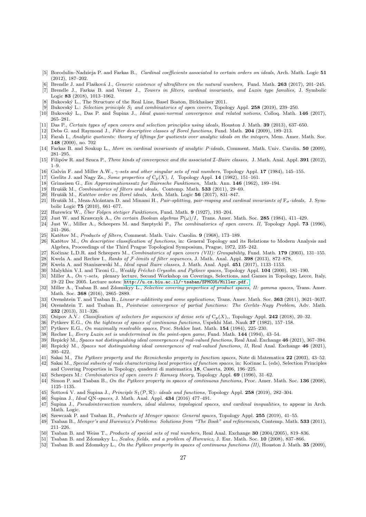- <span id="page-26-17"></span>[5] Borodulin–Nadzieja P. and Farkas B., Cardinal coefficients associated to certain orders on ideals, Arch. Math. Logic 51 (2012), 187–202.
- <span id="page-26-13"></span>[6] Brendle J. and Flašková J., Generic existence of ultrafilters on the natural numbers, Fund. Math. 263 (2017), 201–245. [7] Brendle J., Farkas B. and Verner J., Towers in filters, cardinal invariants, and Luzin type families, J. Symbolic
- <span id="page-26-14"></span>Logic 83 (2018), 1013–1062. Bukovský L., The Structure of the Real Line, Basel Boston, Birkhaüser 2011.
- <span id="page-26-32"></span><span id="page-26-20"></span>Bukovský L.: Selection principle S<sub>1</sub> and combinatorics of open covers, Topology Appl. 258 (2019), 239–250.
- <span id="page-26-28"></span>[10] Bukovský L., Das P. and Šupina J., *Ideal quasi-normal convergence and related notions*, Colloq. Math. 146 (2017), 265–281.
- <span id="page-26-29"></span>[11] Das P., Certain types of open covers and selection principles using ideals, Houston J. Math. 39 (2013), 637–650.
- <span id="page-26-23"></span>Debs G. and Raymond J., Filter descriptive classes of Borel functions, Fund. Math. 204 (2009), 189-213.
- <span id="page-26-36"></span>[13] Farah I., Analytic quotients: theory of liftings for quotients over analytic ideals on the integers, Mem. Amer. Math. Soc. 148 (2000), no. 702
- <span id="page-26-44"></span>[14] Farkas B. and Soukup L., More on cardinal invariants of analytic P-ideals, Comment. Math. Univ. Carolin. 50 (2009), 281–295.
- <span id="page-26-25"></span>[15] Filipów R. and Szuca P., Three kinds of convergence and the associated *I-Baire classes*, J. Math. Anal. Appl. 391 (2012), 1–9.
- <span id="page-26-11"></span>[16] Galvin F. and Miller A.W., γ-sets and other singular sets of real numbers, Topology Appl. 17 (1984), 145–155.
- <span id="page-26-0"></span>[17] Gerlits J. and Nagy Zs., Some properties of  $C_p(X)$ , I, Topology Appl. 14 (1982), 151–161.
- <span id="page-26-22"></span>[18] Grimeisen G., Ein Approximationssatz fur Bairesche Funktionen, Math. Ann. 146 (1962), 189–194.
- <span id="page-26-15"></span>[19] Hrušák M., Combinatorics of filters and ideals, Contemp. Math. 533 (2011), 29–69.
- <span id="page-26-16"></span>[20] Hrušák M., Katětov order on Borel ideals, Arch. Math. Logic 56 (2017), 831–847.
- <span id="page-26-38"></span>[21] Hrušák M., Meza-Alcántara D. and Minami H., Pair-splitting, pair-reaping and cardinal invariants of  $F_{\sigma}$ -ideals, J. Symbolic Logic 75 (2010), 661–677.
- <span id="page-26-41"></span>[22] Hurewicz W., Über Folgen stetiger Funktionen, Fund. Math.  $9$  (1927), 193-204.
- <span id="page-26-37"></span>[23] Just W. and Krawczyk A., On certain Boolean algebras  $\mathcal{P}(\omega)/I$ , Trans. Amer. Math. Soc. 285 (1984), 411–429.
- <span id="page-26-42"></span>[24] Just W., Miller A., Scheepers M. and Szeptycki P., The combinatorics of open covers. II, Topology Appl. 73 (1996), 241–266.
- <span id="page-26-21"></span>[25] Katětov M., Products of filters, Comment. Math. Univ. Carolin. 9 (1968), 173–189.
- <span id="page-26-12"></span>[26] Katětov M., On descriptive classification of functions, in: General Topology and its Relations to Modern Analysis and Algebra, Proceedings of the Third Prague Topological Symposium, Prague, 1972, 235–242.
- <span id="page-26-39"></span>[27] Kočinac L.D.R. and Scheepers M., Combinatorics of open covers (VII): Groupability, Fund. Math. 179 (2003), 131-155.
- <span id="page-26-24"></span>[28] Kwela A. and Reclaw I., Ranks of  $\mathcal{F}\text{-limits}$  of filter sequences, J. Math. Anal. Appl. 398 (2013), 872–878.
- <span id="page-26-27"></span>[29] Kwela A. and Staniszewski M., Ideal equal Baire classes, J. Math. Anal. Appl. 451 (2017), 1133–1153.
- <span id="page-26-1"></span>[30] Malykhin V.I. and Tironi G., Weakly Fréchet-Urysohn and Pytkeev spaces, Topology Appl. 104 (2000), 181-190.
- <span id="page-26-8"></span>[31] Miller A., On  $\gamma$ -sets, plenary lecture, Second Workshop on Coverings, Selections, and Games in Topology, Lecce, Italy, 19–22 Dec 2005. Lecture notes: <http://u.cs.biu.ac.il/~tsaban/SPMC05/Miller.pdf.>
- <span id="page-26-47"></span>[32] Miller A., Tsaban B. and Zdomskyy L., Selective covering properties of product spaces, II: gamma spaces, Trans. Amer. Math. Soc. 368 (2016), 2865–2889.
- <span id="page-26-10"></span><span id="page-26-7"></span>[33] Orenshtein T. and Tsaban B., Linear σ-additivity and some applications, Trans. Amer. Math. Soc. 363 (2011), 3621–3637. [34] Orenshtein T. and Tsaban B., Pointwise convergence of partial functions: The Gerlits–Nagy Problem, Adv. Math. 232 (2013), 311–326.
- <span id="page-26-33"></span>[35] Osipov A.V.: Classification of selectors for sequences of dense sets of  $C_p(X)$ , Topology Appl. 242 (2018), 20–32.
- <span id="page-26-18"></span>[36] Pytkeev E.G., On the tightness of spaces of continuous functions, Uspekhi Mat. Nauk 37 (1982), 157–158.
- <span id="page-26-2"></span>[37] Pytkeev E.G., On maximally resolvable spaces, Proc. Steklov Inst. Math. 154 (1984), 225-230.
- <span id="page-26-43"></span>[38] Reclaw I., Every Luzin set is undetermined in the point-open game, Fund. Math. 144 (1994), 43–54.
- <span id="page-26-45"></span>[39] Repický M., Spaces not distinguishing ideal convergences of real-valued functions, Real Anal. Exchange 46 (2021), 367–394.
- <span id="page-26-46"></span>[40] Repick´y M., Spaces not distinguishing ideal convergences of real-valued functions, II, Real Anal. Exchange 46 (2021), 395–422.
- <span id="page-26-3"></span>[41] Sakai M., The Pytkeev property and the Reznichenko property in function spaces, Note di Matematica 22 (2003), 43–52.
- <span id="page-26-4"></span>[42] Sakai M., Special subsets of reals characterizing local properties of function spaces, in: Kočinac L. (eds), Selection Principles and Covering Properties in Topology, quaderni di matematica 18, Caserta, 2006, 196–225.
- <span id="page-26-31"></span>[43] Scheepers M.: Combinatorics of open covers I: Ramsey theory, Topology Appl. 69 (1996), 31–62.
- <span id="page-26-5"></span>[44] Simon P. and Tsaban B., On the Pytkeev property in spaces of continuous functions, Proc. Amer. Math. Soc. 136 (2008), 1125–1135.
- <span id="page-26-19"></span>[45] Sottová V. and Šupina J., Principle  $S_1(\mathcal{P}, \mathcal{R})$ : ideals and functions, Topology Appl. 258 (2019), 282–304.
- <span id="page-26-26"></span>[46] Supina J., *Ideal QN-spaces*, J. Math. Anal. Appl.  $434$  (2016) 477-491.
- <span id="page-26-9"></span>[47] Supina J., Pseudointersection numbers, ideal slaloms, topological spaces, and cardinal inequalities, to appear in Arch. Math. Logic.
- <span id="page-26-30"></span>[48] Szewczak P. and Tsaban B., Products of Menger spaces: General spaces, Topology Appl. 255 (2019), 41–55.
- <span id="page-26-34"></span>[49] Tsaban B., Menger's and Hurewicz's Problems: Solutions from "The Book" and refinements, Contemp. Math. 533 (2011), 211–226.
- <span id="page-26-40"></span>[50] Tsaban B. and Weiss T., Products of special sets of real numbers, Real Anal. Exchange 30 (2004/2005), 819–836.
- <span id="page-26-35"></span>[51] Tsaban B. and Zdomskyy L., Scales, fields, and a problem of Hurewicz, J. Eur. Math. Soc. 10 (2008), 837-866.
- <span id="page-26-6"></span>[52] Tsaban B. and Zdomskyy L., On the Pytkeev property in spaces of continuous functions (II), Houston J. Math. 35 (2009),